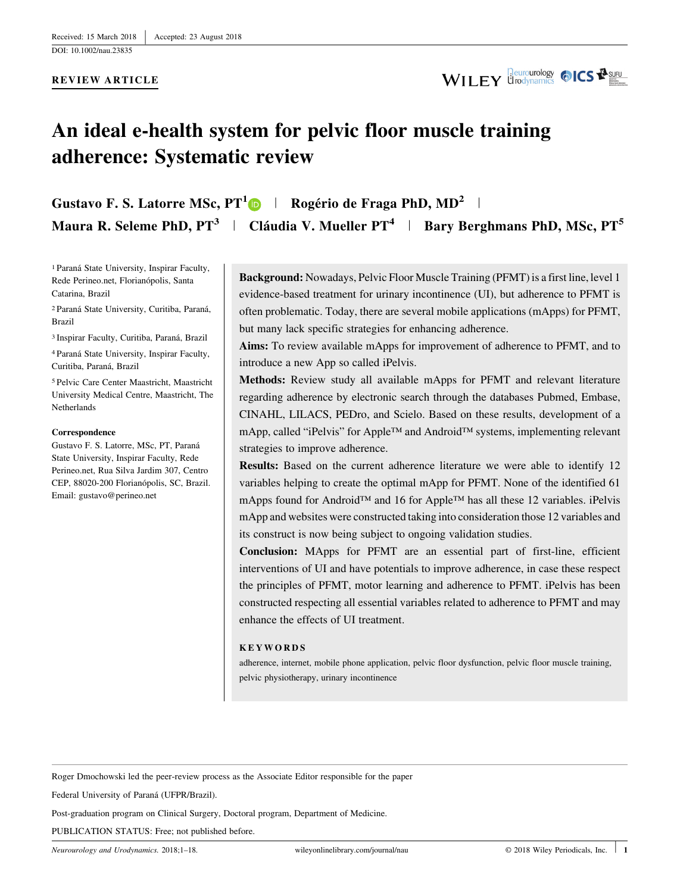**REVIEW ARTICLE**



# **An ideal e-health system for pelvic floor muscle training adherence: Systematic review**

**Gustavo F. S. Latorre MSc, PT<sup>1</sup> <sup>|</sup> Rogério de Fraga PhD, MD<sup>2</sup> <sup>|</sup> Maura R. Seleme PhD, PT<sup>3</sup> <sup>|</sup> Cláudia V. Mueller PT<sup>4</sup> <sup>|</sup> Bary Berghmans PhD, MSc, PT<sup>5</sup>**

1 Paraná State University, Inspirar Faculty, Rede Perineo.net, Florianópolis, Santa Catarina, Brazil

2 Paraná State University, Curitiba, Paraná, Brazil

3 Inspirar Faculty, Curitiba, Paraná, Brazil

4 Paraná State University, Inspirar Faculty, Curitiba, Paraná, Brazil

5 Pelvic Care Center Maastricht, Maastricht University Medical Centre, Maastricht, The Netherlands

#### **Correspondence**

Gustavo F. S. Latorre, MSc, PT, Paraná State University, Inspirar Faculty, Rede Perineo.net, Rua Silva Jardim 307, Centro CEP, 88020-200 Florianópolis, SC, Brazil. Email: gustavo@perineo.net

**Background:** Nowadays, Pelvic Floor Muscle Training (PFMT) is a first line, level 1 evidence-based treatment for urinary incontinence (UI), but adherence to PFMT is often problematic. Today, there are several mobile applications (mApps) for PFMT, but many lack specific strategies for enhancing adherence.

**Aims:** To review available mApps for improvement of adherence to PFMT, and to introduce a new App so called iPelvis.

**Methods:** Review study all available mApps for PFMT and relevant literature regarding adherence by electronic search through the databases Pubmed, Embase, CINAHL, LILACS, PEDro, and Scielo. Based on these results, development of a mApp, called "iPelvis" for Apple™ and Android™ systems, implementing relevant strategies to improve adherence.

**Results:** Based on the current adherence literature we were able to identify 12 variables helping to create the optimal mApp for PFMT. None of the identified 61 mApps found for Android™ and 16 for Apple™ has all these 12 variables. iPelvis mApp and websites were constructed taking into consideration those 12 variables and its construct is now being subject to ongoing validation studies.

**Conclusion:** MApps for PFMT are an essential part of first-line, efficient interventions of UI and have potentials to improve adherence, in case these respect the principles of PFMT, motor learning and adherence to PFMT. iPelvis has been constructed respecting all essential variables related to adherence to PFMT and may enhance the effects of UI treatment.

#### **KEYWORDS**

adherence, internet, mobile phone application, pelvic floor dysfunction, pelvic floor muscle training, pelvic physiotherapy, urinary incontinence

Roger Dmochowski led the peer-review process as the Associate Editor responsible for the paper

Federal University of Paraná (UFPR/Brazil).

Post-graduation program on Clinical Surgery, Doctoral program, Department of Medicine.

PUBLICATION STATUS: Free; not published before.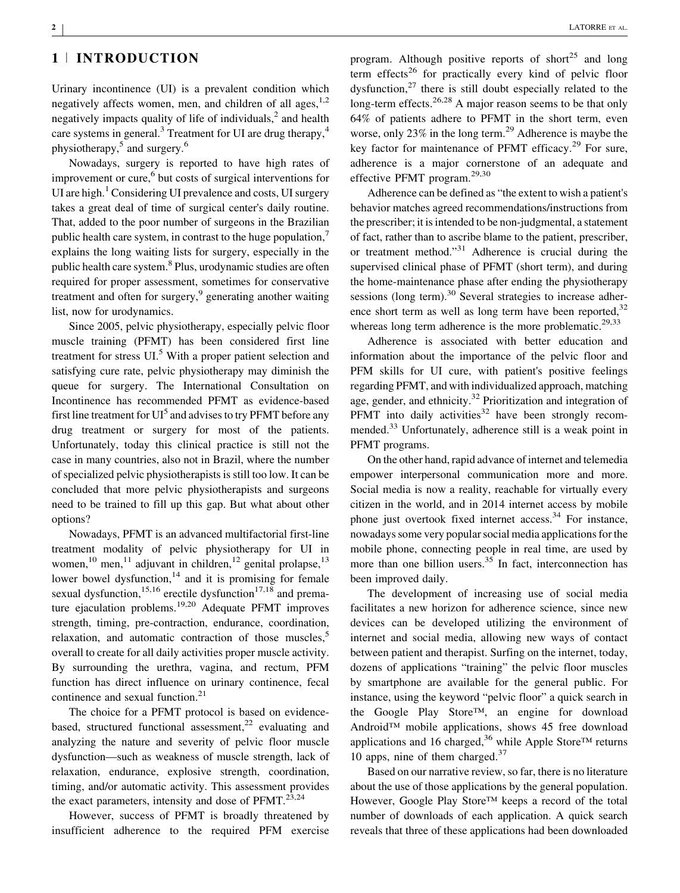# **1** <sup>|</sup> **INTRODUCTION**

Urinary incontinence (UI) is a prevalent condition which negatively affects women, men, and children of all ages,  $1,2$ negatively impacts quality of life of individuals, $<sup>2</sup>$  [and health](#page-15-0)</sup> care systems in general.<sup>3</sup> Treatment for UI are drug therapy,<sup>4</sup> physiotherapy,<sup>5</sup> and surgery.<sup>6</sup>

Nowadays, surgery is reported to have high rates of improvement or cure,<sup>6</sup> [but costs of surgical interventions for](#page-15-0) UI are high.<sup>1</sup> [Considering UI prevalence and costs, UI surgery](#page-15-0) takes a great deal of time of surgical center's daily routine. That, added to the poor number of surgeons in the Brazilian public health care system, in contrast to the huge population, $\overline{a}$ explains the long waiting lists for surgery, especially in the public health care system.<sup>8</sup> [Plus, urodynamic studies are often](#page-15-0) required for proper assessment, sometimes for conservative treatment and often for surgery,<sup>9</sup> [generating another waiting](#page-15-0) list, now for urodynamics.

Since 2005, pelvic physiotherapy, especially pelvic floor muscle training (PFMT) has been considered first line treatment for stress  $UI<sup>5</sup>$  [With a proper patient selection and](#page-15-0) satisfying cure rate, pelvic physiotherapy may diminish the queue for surgery. The International Consultation on Incontinence has recommended PFMT as evidence-based first line treatment for  $UI<sup>5</sup>$  [and advises to try PFMT before any](#page-15-0) drug treatment or surgery for most of the patients. Unfortunately, today this clinical practice is still not the case in many countries, also not in Brazil, where the number of specialized pelvic physiotherapists is still too low. It can be concluded that more pelvic physiotherapists and surgeons need to be trained to fill up this gap. But what about other options?

Nowadays, PFMT is an advanced multifactorial first-line treatment modality of pelvic physiotherapy for UI in wo[men,](#page-16-0)<sup>10</sup> men,<sup>11</sup> [adjuvant in children,](#page-16-0)<sup>12</sup> genital prolapse,<sup>13</sup> lower bowel dysfunction, $14$  [and it is promising for female](#page-16-0) sexual dysfunction,<sup>15,16</sup> [erectile dysfunction](#page-16-0)<sup>17,18</sup> [and prema-](#page-16-0)ture ejaculation problems.<sup>19,20</sup> [Adequate PFMT improves](#page-16-0) strength, timing, pre-contraction, endurance, coordination, relaxation, and automatic contraction of those muscles, $5$ overall to create for all daily activities proper muscle activity. By surrounding the urethra, vagina, and rectum, PFM function has direct influence on urinary continence, fecal continence and sexual function.<sup>21</sup>

The choice for a PFMT protocol is based on evidencebased, structured functional assessment,<sup>22</sup> [evaluating and](#page-16-0) analyzing the nature and severity of pelvic floor muscle dysfunction—such as weakness of muscle strength, lack of relaxation, endurance, explosive strength, coordination, timing, and/or automatic activity. This assessment provides the exact parameters, intensity and dose of  $PFMT$ <sup>23,24</sup>

However, success of PFMT is broadly threatened by insufficient adherence to the required PFM exercise program. Although positive reports of short<sup>25</sup> [and long](#page-16-0) term effects<sup>26</sup> [for practically every kind of pelvic floor](#page-16-0) dysfunction. $27$  [there is still doubt especially related to the](#page-16-0) long-term effects.<sup>26,28</sup> [A major reason seems to be that only](#page-16-0) 64% of patients adhere to PFMT in the short term, even worse, only 23% in the long term.<sup>29</sup> [Adherence is maybe the](#page-16-0) key factor for maintenance of PFMT efficacy.<sup>29</sup> [For sure,](#page-16-0) adherence is a major cornerstone of an adequate and effective PFMT program.[29,30](#page-16-0)

Adherence can be defined as "the extent to wish a patient's behavior matches agreed recommendations/instructions from the prescriber; it is intended to be non-judgmental, a statement of fact, rather than to ascribe blame to the patient, prescriber, or treatment method."<sup>31</sup> [Adherence is crucial during the](#page-16-0) supervised clinical phase of PFMT (short term), and during the home-maintenance phase after ending the physiotherapy sessions (long term).<sup>30</sup> [Several strategies to increase adher](#page-16-0)ence short term as well as long term have been reported,  $32$ whereas long term adherence is the more problematic.<sup>[29,33](#page-16-0)</sup>

Adherence is associated with better education and information about the importance of the pelvic floor and PFM skills for UI cure, with patient's positive feelings regarding PFMT, and with individualized approach, matching age, gender, and ethnicity.<sup>32</sup> [Prioritization and integration of](#page-16-0) PFMT into daily activities<sup>32</sup> [have been strongly recom](#page-16-0)mended.33 [Unfortunately, adherence still is a weak point in](#page-16-0) PFMT programs.

On the other hand, rapid advance of internet and telemedia empower interpersonal communication more and more. Social media is now a reality, reachable for virtually every citizen in the world, and in 2014 internet access by mobile phone just overtook fixed internet access.<sup>34</sup> [For instance,](#page-16-0) nowadays some very popular social media applications for the mobile phone, connecting people in real time, are used by more than one billion users.<sup>35</sup> [In fact, interconnection has](#page-16-0) been improved daily.

The development of increasing use of social media facilitates a new horizon for adherence science, since new devices can be developed utilizing the environment of internet and social media, allowing new ways of contact between patient and therapist. Surfing on the internet, today, dozens of applications "training" the pelvic floor muscles by smartphone are available for the general public. For instance, using the keyword "pelvic floor" a quick search in the Google Play Store™, an engine for download Android™ mobile applications, shows 45 free download applications and 16 charged,<sup>36</sup> [while Apple Store](#page-16-0)<sup>TM</sup> returns 10 apps, nine of them charged. $37$ 

Based on our narrative review, so far, there is no literature about the use of those applications by the general population. However, Google Play Store™ keeps a record of the total number of downloads of each application. A quick search reveals that three of these applications had been downloaded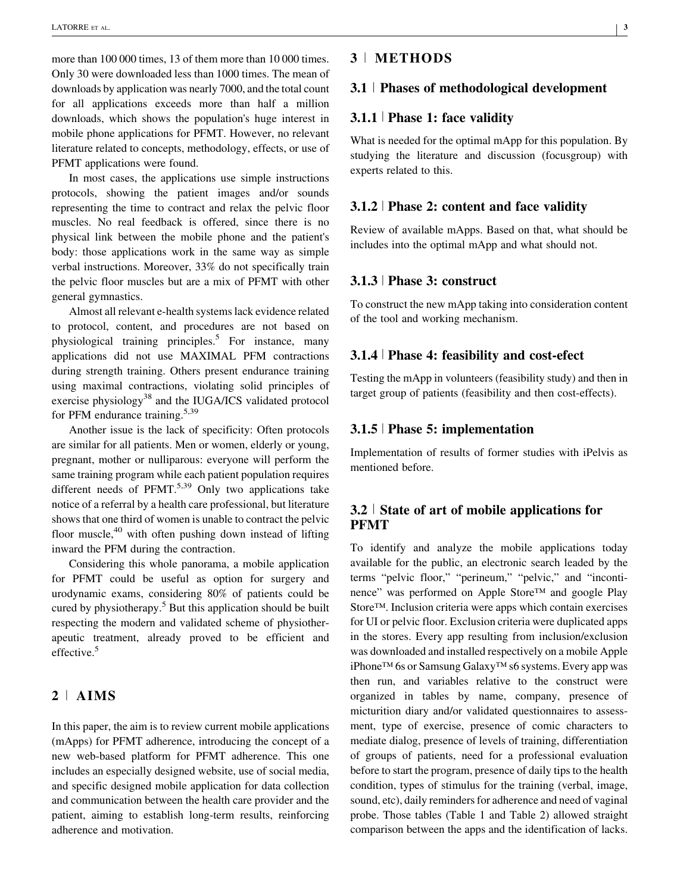more than 100 000 times, 13 of them more than 10 000 times. Only 30 were downloaded less than 1000 times. The mean of downloads by application was nearly 7000, and the total count for all applications exceeds more than half a million downloads, which shows the population's huge interest in mobile phone applications for PFMT. However, no relevant literature related to concepts, methodology, effects, or use of PFMT applications were found.

In most cases, the applications use simple instructions protocols, showing the patient images and/or sounds representing the time to contract and relax the pelvic floor muscles. No real feedback is offered, since there is no physical link between the mobile phone and the patient's body: those applications work in the same way as simple verbal instructions. Moreover, 33% do not specifically train the pelvic floor muscles but are a mix of PFMT with other general gymnastics.

Almost all relevant e-health systems lack evidence related to protocol, content, and procedures are not based on physiological training principles.<sup>5</sup> [For instance, many](#page-15-0) applications did not use MAXIMAL PFM contractions during strength training. Others present endurance training using maximal contractions, violating solid principles of exercise physiology<sup>38</sup> [and the IUGA/ICS validated protocol](#page-16-0) for PFM endurance training.<sup>[5,39](#page-15-0)</sup>

Another issue is the lack of specificity: Often protocols are similar for all patients. Men or women, elderly or young, pregnant, mother or nulliparous: everyone will perform the same training program while each patient population requires different needs of  $PFMT$ <sup>5,39</sup> [Only two applications take](#page-15-0) notice of a referral by a health care professional, but literature shows that one third of women is unable to contract the pelvic floor muscle, $40$  [with often pushing down instead of lifting](#page-16-0) inward the PFM during the contraction.

Considering this whole panorama, a mobile application for PFMT could be useful as option for surgery and urodynamic exams, considering 80% of patients could be cured by physiotherapy. $5$  [But this application should be built](#page-15-0) respecting the modern and validated scheme of physiotherapeutic treatment, already proved to be efficient and effective.<sup>[5](#page-15-0)</sup>

## **2** <sup>|</sup> **AIMS**

In this paper, the aim is to review current mobile applications (mApps) for PFMT adherence, introducing the concept of a new web-based platform for PFMT adherence. This one includes an especially designed website, use of social media, and specific designed mobile application for data collection and communication between the health care provider and the patient, aiming to establish long-term results, reinforcing adherence and motivation.

## **3** <sup>|</sup> **METHODS**

#### **3.1** <sup>|</sup> **Phases of methodological development**

## **3.1.1** <sup>|</sup> **Phase 1: face validity**

What is needed for the optimal mApp for this population. By studying the literature and discussion (focusgroup) with experts related to this.

#### **3.1.2** <sup>|</sup> **Phase 2: content and face validity**

Review of available mApps. Based on that, what should be includes into the optimal mApp and what should not.

## **3.1.3** <sup>|</sup> **Phase 3: construct**

To construct the new mApp taking into consideration content of the tool and working mechanism.

#### **3.1.4** <sup>|</sup> **Phase 4: feasibility and cost-efect**

Testing the mApp in volunteers (feasibility study) and then in target group of patients (feasibility and then cost-effects).

#### **3.1.5** <sup>|</sup> **Phase 5: implementation**

Implementation of results of former studies with iPelvis as mentioned before.

## **3.2** <sup>|</sup> **State of art of mobile applications for PFMT**

To identify and analyze the mobile applications today available for the public, an electronic search leaded by the terms "pelvic floor," "perineum," "pelvic," and "incontinence" was performed on Apple Store™ and google Play Store™. Inclusion criteria were apps which contain exercises for UI or pelvic floor. Exclusion criteria were duplicated apps in the stores. Every app resulting from inclusion/exclusion was downloaded and installed respectively on a mobile Apple iPhone™ 6s or Samsung Galaxy™ s6 systems. Every app was then run, and variables relative to the construct were organized in tables by name, company, presence of micturition diary and/or validated questionnaires to assessment, type of exercise, presence of comic characters to mediate dialog, presence of levels of training, differentiation of groups of patients, need for a professional evaluation before to start the program, presence of daily tips to the health condition, types of stimulus for the training (verbal, image, sound, etc), daily reminders for adherence and need of vaginal probe. Those tables (Table [1](#page-3-0) and Table [2\)](#page-8-0) allowed straight comparison between the apps and the identification of lacks.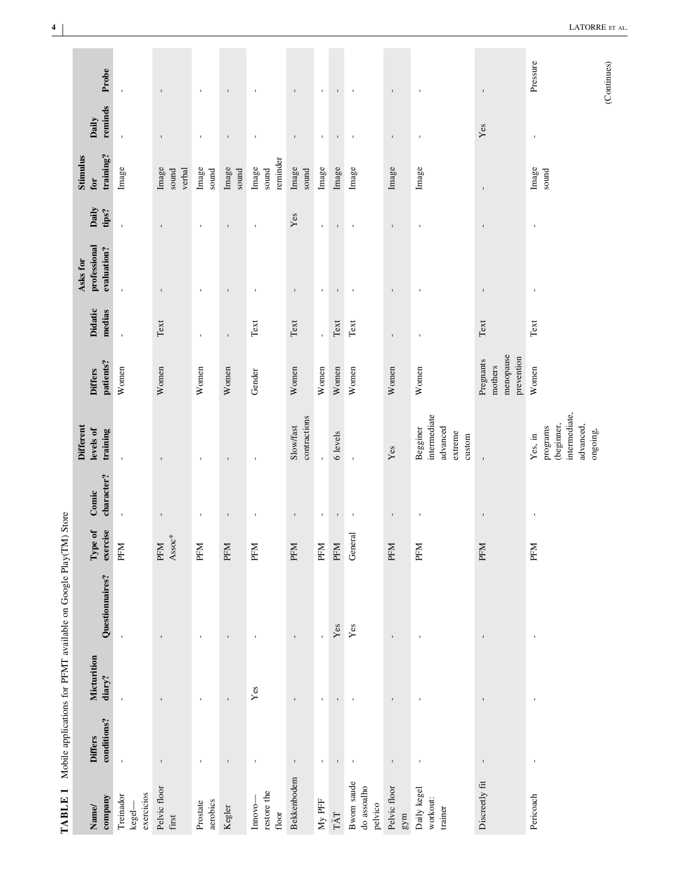<span id="page-3-0"></span>

|                               |                       | Mobile applications for PFMT available on Google Play(TM) Store |                                                 |                     |                                                                             |                                                 |                                |                                         |                |                                     |                  |                |
|-------------------------------|-----------------------|-----------------------------------------------------------------|-------------------------------------------------|---------------------|-----------------------------------------------------------------------------|-------------------------------------------------|--------------------------------|-----------------------------------------|----------------|-------------------------------------|------------------|----------------|
| conditions?<br><b>Differs</b> | Micturition<br>diary? | Questionnaires?                                                 | exercise<br>Type of                             | character?<br>Comic | <b>Different</b><br>levels of<br>training                                   | patients?<br><b>Differs</b>                     | Didatic<br>medias              | professional<br>evaluation?<br>Asks for | Daily<br>tips? | training?<br><b>Stimulus</b><br>for | reminds<br>Daily | Probe          |
| $\mathbf{I}$                  | $\mathbf{I}$          | $\mathbf{I}$                                                    | PFM                                             | $\mathbf{I}$        | $\mathbf{I}$                                                                | Women                                           | $\mathbf{I}$                   | $\mathbf{I}$                            | $\mathbf{r}$   | Image                               | $\mathbf{I}$     | $\mathbf{I}$   |
| $\,$                          | $\mathbf{I}$          | $\mathbf{I}$                                                    | $\ensuremath{\mbox{\sf Assoc}}^*$<br><b>PFM</b> | $\mathbf{I}$        | $\mathbf{I}$                                                                | Women                                           | Text                           | $\mathbf{I}$                            | $\mathbf{I}$   | Image<br>sound<br>verbal            | $\mathbf{I}$     | $\,$           |
| $\mathbf{I}$                  | $\blacksquare$        | $\blacksquare$                                                  | PFM                                             | $\mathbf{I}$        | $\mathbf{I}$                                                                | Women                                           | $\mathbf{I}$                   | $\mathbf{I}$                            | $\blacksquare$ | Image<br>sound                      | $\mathbf{I}$     | $\mathbf{I}$   |
| $\mathbf{I}$                  | $\mathbf{I}$          | $\mathsf I$                                                     | PFM                                             | $\mathbf{I}$        | $\mathbf{I}$                                                                | Women                                           | $\mathbf{I}$                   | $\mathbf{I}$                            | $\mathbf{I}$   | Image<br>sound                      | $\mathbf{I}$     | $\mathbf{I}$   |
| $\mathbf{I}$                  | Yes                   | $\mathbf{I}$                                                    | PFM                                             | $\mathbf{I}$        | $\mathbf{I}$                                                                | Gender                                          | Text                           | $\mathbf{I}$                            | $\mathbf{I}$   | reminder<br>Image<br>sound          | $\mathbf{I}$     | $\mathbf{I}$   |
| $\mathbf I$                   | $\mathbf{I}$          | $\mathbf{I}$                                                    | PFM                                             | $\blacksquare$      | contractions<br>Slow/fast                                                   | Women                                           | Text                           | $\mathbf{I}$                            | Yes            | Image<br>sound                      | $\mathbf{I}$     | $\mathbf{I}$   |
| $\mathbf{r}$                  | $\mathbf{r}$          | $\bar{\mathbf{r}}$                                              | PFM                                             | $\mathbf{I}$        | $\mathbf{r}$                                                                | Women                                           | $\bar{\mathbf{r}}$             | $\mathbf{r}$                            | $\mathbf{r}$   | Image                               | $\mathbf{r}$     | $\mathbf{r}$   |
| $\mathbf{I}$                  |                       | $\mathbf{Yes}$                                                  | PFM                                             | $\mathbf{I}$        | 6 levels                                                                    | Women                                           | $\operatorname{\mathsf{Text}}$ | $\mathbf I$                             | $\mathbf{I}$   | Image                               | $\mathbf{I}$     | $\mathbf{I}$   |
| $\mathbf{I}$                  | $\blacksquare$        | $\mathbf{Yes}$                                                  | General                                         | $\mathbf{I}$        | $\mathbf{I}$                                                                | Women                                           | Text                           | $\mathbf{I}$                            | $\mathbf{I}$   | Image                               | $\mathbf{I}$     | $\blacksquare$ |
| $\,$                          | $\mathbf{I}$          | $\blacksquare$                                                  | PFM                                             | $\blacksquare$      | $\mathbf{Yes}$                                                              | Women                                           | $\blacksquare$                 | $\mathbf{I}$                            | $\blacksquare$ | Image                               | $\blacksquare$   | $\mathbf{I}$   |
| $\blacksquare$                | $\mathbf{I}$          | $\mathbf{I}$                                                    | PFM                                             | J.                  | intermediate<br>advanced<br>Begginer<br>extreme<br>custom                   | Women                                           | $\mathbf{I}$                   | $\mathbf{I}$                            | $\mathbf{I}$   | Image                               | $\mathbf{I}$     | $\mathbf{I}$   |
| $\blacksquare$                | $\mathbf{I}$          | $\blacksquare$                                                  | PFM                                             | $\hat{\mathbf{U}}$  | $\blacksquare$                                                              | menopause<br>prevention<br>Pregnants<br>mothers | Text                           | $\blacksquare$                          | $\blacksquare$ | $\mathbf{I}$                        | Yes              | $\mathbf I$    |
| $\blacksquare$                | $\blacksquare$        | $\blacksquare$                                                  | PFM                                             | $\blacksquare$      | intermediate,<br>(beginner,<br>advanced,<br>programs<br>ongoing,<br>Yes, in | Women                                           | $\operatorname{Text}$          | $\blacksquare$                          | $\,$           | Image<br>sound                      | $\mathbf{I}$     | Pressure       |
|                               |                       |                                                                 |                                                 |                     |                                                                             |                                                 |                                |                                         |                |                                     |                  | (Continues)    |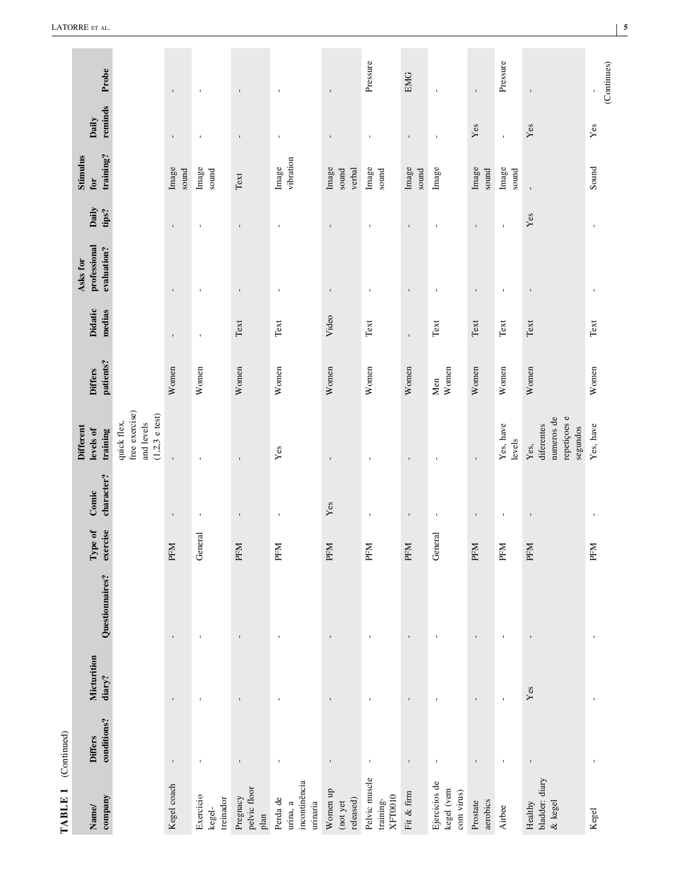| ì |
|---|
|   |
|   |
|   |
|   |
|   |
|   |
| ĺ |
|   |
|   |
|   |
|   |

| Probe                                     |                                                                 | $\mathbf{r}$   | $\mathbf{I}$                     | $\mathbf{I}$                     | $\blacksquare$                                    | $\mathbf{I}$                      | Pressure                                     | <b>EMG</b>     | $\mathbf{I}$                              | $\mathbf{I}$         | Pressure            | $\mathbf{I}$                                                 | (Continues)<br>$\,$ |
|-------------------------------------------|-----------------------------------------------------------------|----------------|----------------------------------|----------------------------------|---------------------------------------------------|-----------------------------------|----------------------------------------------|----------------|-------------------------------------------|----------------------|---------------------|--------------------------------------------------------------|---------------------|
| reminds<br>Daily                          |                                                                 | $\mathbf{r}$   | $\mathbf{I}$                     | $\mathbf I$                      | $\blacksquare$                                    | $\blacksquare$                    | $\mathbf{I}$                                 | $\mathbf I$    | $\mathbf{r}$                              | Yes                  | $\mathbf{I}$        | Yes                                                          | Yes                 |
| training?<br><b>Stimulus</b><br>for       |                                                                 | Image<br>sound | Image<br>sound                   | Text                             | vibration<br>Image                                | Image<br>sound<br>verbal          | Image<br>sound                               | Image<br>sound | Image                                     | Image<br>sound       | Image<br>sound      |                                                              | Sound               |
| Daily<br>tips?                            |                                                                 | $\mathbf{r}$   | $\mathbf{I}$                     | $\mathbf{I}$                     | $\blacksquare$                                    | $\mathbf{I}$                      | ٠                                            | $\mathbf{I}$   | $\mathbf{I}$                              | $\mathbf{I}$         | $\mathbf{I}$        | $\mathbf{Yes}$                                               | $\mathbf{I}$        |
| professional<br>evaluation?<br>Asks for   |                                                                 | $\mathbf{I}$   | J.                               | $\mathbf I$                      | $\overline{1}$                                    | $\blacksquare$                    | $\mathbf{I}$                                 | $\mathbf{I}$   | $\mathbf{I}$                              | $\mathbf{I}$         | $\mathbf{I}$        | $\blacksquare$                                               | $\mathbf I$         |
| <b>Didatic</b><br>medias                  |                                                                 | $\mathbf I$    | $\mathbf{I}$                     | Text                             | Text                                              | Video                             | Text                                         | $\blacksquare$ | Text                                      | Text                 | Text                | Text                                                         | Text                |
| patients?<br><b>Differs</b>               |                                                                 | Women          | Women                            | Women                            | Women                                             | Women                             | Women                                        | Women          | Women<br>Men                              | Women                | Women               | Women                                                        | Women               |
| <b>Different</b><br>levels of<br>training | free exercise)<br>$(1,2,3$ e test)<br>and levels<br>quick flex, | $\mathbf{I}$   | $\mathbf{I}$                     | $\mathbf I$                      | Yes                                               | $\blacksquare$                    | J.                                           | $\mathbf{I}$   | $\mathbf{I}$                              | $\mathbf I$          | Yes, have<br>levels | repetições e<br>numeros de<br>diferentes<br>segundos<br>Yes, | Yes, have           |
| character?<br>Comic                       |                                                                 | $\blacksquare$ | $\blacksquare$                   | $\mathbf I$                      | ı                                                 | $\mathbf{Yes}$                    | $\blacksquare$                               | $\mathbf{I}$   | $\blacksquare$                            | $\mathbf{I}$         | $\mathbf{I}$        | $\blacksquare$                                               | $\blacksquare$      |
| exercise<br>Type of                       |                                                                 | PFM            | General                          | PFM                              | PFM                                               | PFM                               | PFM                                          | PFM            | General                                   | PFM                  | PFM                 | PFM                                                          | PFM                 |
| Questionnaires?                           |                                                                 | $\mathbf{I}$   | $\mathbf{I}$                     | $\mathbf{I}$                     | $\blacksquare$                                    | $\blacksquare$                    | $\blacksquare$                               | $\mathbf I$    | $\blacksquare$                            | $\mathbf{I}$         | $\mathbf{I}$        | $\blacksquare$                                               | $\blacksquare$      |
| Micturition<br>diary?                     |                                                                 | $\mathbf{I}$   | J.                               | $\blacksquare$                   | $\blacksquare$                                    |                                   |                                              | $\blacksquare$ | $\blacksquare$                            | $\mathbf{I}$         | $\mathbf{I}$        | Yes                                                          | $\mathbf{I}$        |
| conditions?<br><b>Differs</b>             |                                                                 | $\blacksquare$ | $\mathbf{I}$                     | $\mathbf I$                      | $\mathbf{I}$                                      |                                   | $\blacksquare$                               | $\mathbf{I}$   | $\blacksquare$                            | $\blacksquare$       | $\mathbf{I}$        | $\mathbf{I}$                                                 | J.                  |
| company<br>Name/                          |                                                                 | Kegel coach    | Exercicio<br>treinador<br>kegel- | pelvic floor<br>Pregnacy<br>plan | incontinência<br>Perda de<br>urinaria<br>urina, a | Women up<br>released)<br>(not yet | Pelvic muscle<br><b>XFT0010</b><br>training- | Fit & firm     | Ejercicios de<br>kegel (vem<br>com virus) | Prostate<br>aerobics | Airbee              | bladder: diary<br>& kegel<br>Healthy                         | Kegel               |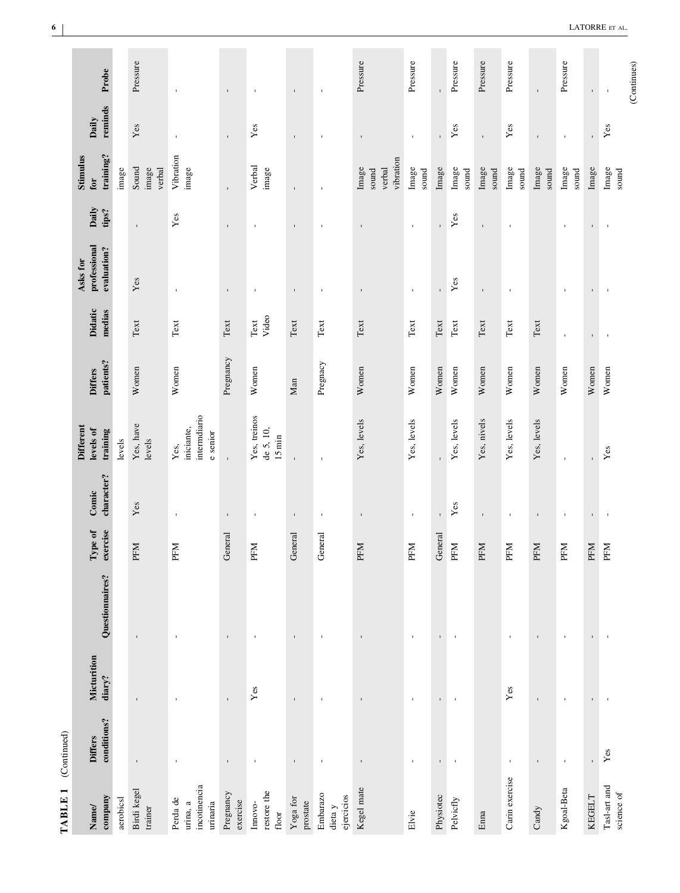| ١ |
|---|
|   |

 $\overline{a}$ 

| Probe                                     |           | Pressure                 | $\mathbf{I}$                                     | $\mathbf{I}$          | $\mathbf{I}$                            | $\mathbf{I}$         | $\blacksquare$                    | Pressure                              | Pressure              | $\mathbf{I}$          | Pressure                      | Pressure       | Pressure              | $\blacksquare$ | Pressure       | $\mathbf{I}$   | (Continues)<br>$\blacksquare$ |
|-------------------------------------------|-----------|--------------------------|--------------------------------------------------|-----------------------|-----------------------------------------|----------------------|-----------------------------------|---------------------------------------|-----------------------|-----------------------|-------------------------------|----------------|-----------------------|----------------|----------------|----------------|-------------------------------|
| reminds<br>Daily                          |           | Yes                      | $\mathbf{I}$                                     | $\mathbf{I}$          | Yes                                     | $\mathbf{I}$         | J,                                | $\mathbf{I}$                          | $\mathbf{I}$          | ï                     | Yes                           | $\mathbf{I}$   | Yes                   | $\blacksquare$ | $\mathbf{I}$   | $\mathbf{r}$   | Yes                           |
| training?<br><b>Stimulus</b><br>for       | image     | Sound<br>image<br>verbal | Vibration<br>image                               | ı.                    | Verbal<br>image                         | $\blacksquare$       | f,                                | vibration<br>Image<br>verbal<br>sound | Image<br>sound        | Image                 | Image<br>$\mathop{\rm sound}$ | Image<br>sound | Image<br>sound        | Image<br>sound | Image<br>sound | Image          | Image<br>sound                |
| Daily<br>tips?                            |           | $\blacksquare$           | Yes                                              | ı.                    | $\mathbf{I}$                            | $\mathbf{I}$         | $\mathbf{I}$                      | ı.                                    | $\mathbf{I}$          | $\mathbf{I}$          | $Y$ es                        | $\mathbf{I}$   | $\,$                  |                |                | $\blacksquare$ | $\blacksquare$                |
| professional<br>evaluation?<br>Asks for   |           | Yes                      | $\mathbf{I}$                                     | $\mathbf{I}$          | $\mathbf{I}$                            | $\mathbf{I}$         | $\mathbf{I}$                      | $\mathbf{I}$                          | $\mathbf{I}$          | $\mathbf{I}$          | $Y$ es                        | $\mathbf{I}$   | $\blacksquare$        |                |                | $\mathbf I$    |                               |
| Didatic<br>medias                         |           | Text                     | Text                                             | $\operatorname{Text}$ | Video<br>$\operatorname{\mathsf{Text}}$ | Text                 | Text                              | Text                                  | $\operatorname{Text}$ | $\operatorname{Text}$ | Text                          | Text           | $\operatorname{Text}$ | Text           |                | $\mathbf I$    | $\overline{\phantom{a}}$      |
| patients?<br><b>Differs</b>               |           | Women                    | Women                                            | Pregnancy             | Women                                   | Man                  | Pregnacy                          | Women                                 | Women                 | Women                 | Women                         | Women          | Women                 | Women          | Women          | Women          | Women                         |
| <b>Different</b><br>levels of<br>training | levels    | Yes, have<br>levels      | intermdiario<br>iniciante,<br>e senior<br>Yes,   | $\mathbf{I}$          | Yes, treinos<br>de 5, 10,<br>$15$ min   | $\blacksquare$       | $\mathbf{I}$                      | Yes, levels                           | Yes, levels           |                       | Yes, levels                   | Yes, nivels    | Yes, levels           | Yes, levels    |                | $\mathbf{r}$   | Yes                           |
| character?<br>Comic                       |           | Yes                      | $\mathbf{I}$                                     | $\blacksquare$        | $\blacksquare$                          | $\blacksquare$       | $\blacksquare$                    | $\mathbf{I}$                          | $\mathbf{I}$          | $\blacksquare$        | Yes                           | $\blacksquare$ | $\,$                  | $\blacksquare$ | $\mathbf{I}$   | $\blacksquare$ | $\blacksquare$                |
| exercise<br>Type of                       |           | PFM                      | PFM                                              | General               | PFM                                     | General              | General                           | PFM                                   | PFM                   | General               | PFM                           | PFM            | PFM                   | PFM            | PFM            | PFM            | PFM                           |
| Questionnaires?                           |           | ı                        |                                                  | $\mathbf{I}$          | $\mathbf{I}$                            | $\mathbf{I}$         | $\mathbf{I}$                      | $\mathbf{I}$                          | ٠                     | $\mathbf{I}$          | $\,$                          |                |                       | $\mathbf{I}$   |                | $\mathbf{I}$   | $\blacksquare$                |
| Micturition<br>diary?                     |           |                          |                                                  | $\mathbf{I}$          | $\mathbf{Yes}$                          | $\mathbf{I}$         | J.                                | ı                                     |                       | $\mathbf{I}$          | $\,$                          |                | Yes                   | ı              |                | $\blacksquare$ | J.                            |
| conditions?<br><b>Differs</b>             |           | ı                        | J.                                               | $\blacksquare$        | $\mathbf{I}$                            | $\blacksquare$       | $\mathbf{I}$                      | $\mathbf{I}$                          |                       | $\blacksquare$        | $\blacksquare$                |                | J,                    | $\blacksquare$ | $\mathbf{I}$   | $\mathbf{I}$   | $\mathbf{Yes}$                |
| company<br>Name/                          | aerobicsl | Birdi kegel<br>trainer   | incotinencia<br>Perda de<br>urinaria<br>urina, a | Pregnancy<br>exercise | restore the<br>Imovo-<br>floor          | Yoga for<br>prostate | Embarazo<br>ejercicios<br>dieta y | Kegel mate                            | Elvie                 | Physiotec             | Pelvicfly                     | Enna           | Carin exercise        | Candy          | Kgoal-Beta     | <b>KEGELT</b>  | Tasl-art and<br>science of    |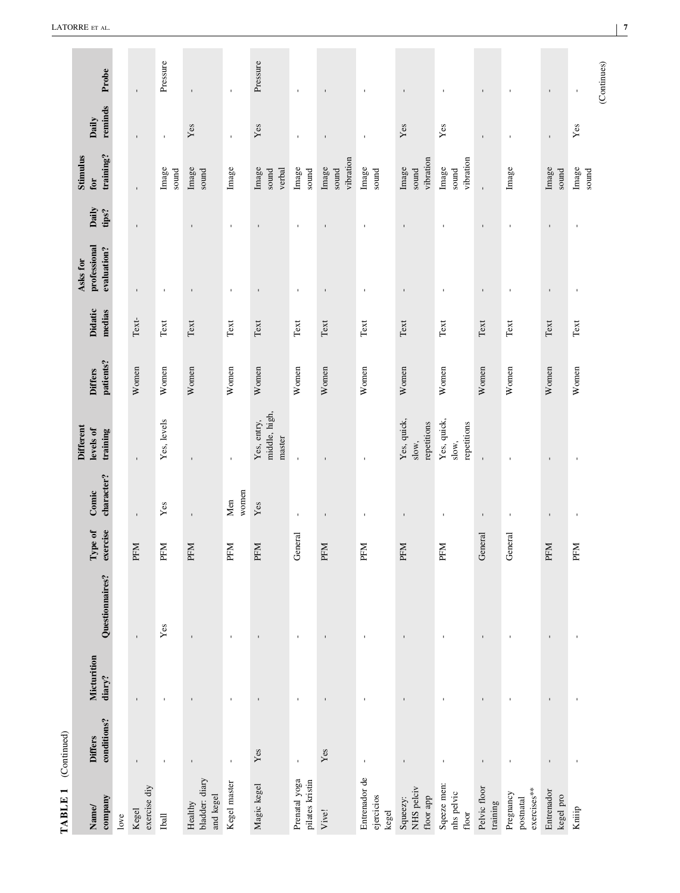| Name/                                  | <b>Differs</b> | Micturition    |                 | Type of    | Comic          | <b>Different</b><br>levels of          | <b>Differs</b> | Didatic                        | professional<br>Asks for | Daily        | <b>Stimulus</b><br>for      | Daily          |                             |
|----------------------------------------|----------------|----------------|-----------------|------------|----------------|----------------------------------------|----------------|--------------------------------|--------------------------|--------------|-----------------------------|----------------|-----------------------------|
| company                                | conditions?    | diary?         | Questionnaires? | exercise   | character?     | training                               | patients?      | medias                         | evaluation?              | tips?        | training?                   | reminds        | Probe                       |
| love                                   |                |                |                 |            |                |                                        |                |                                |                          |              |                             |                |                             |
| exercise diy<br>Kegel                  | $\mathbf{I}$   |                | $\mathbf{r}$    | PFM        | $\mathbf{I}$   | $\mathbf{I}$                           | Women          | Text-                          | $\mathbf{I}$             | $\mathbf{I}$ |                             |                | $\mathbf{I}$                |
| Iball                                  | $\mathbf{I}$   | ×              | Yes             | <b>PFM</b> | Yes            | Yes, levels                            | Women          | Text                           | $\mathbf I$              |              | Image<br>sound              | $\mathbf{r}$   | Pressure                    |
| bladder: diary<br>and kegel<br>Healthy | $\mathbf{I}$   | $\mathbf{I}$   | $\mathbf{r}$    | PFM        | ï              | ï                                      | Women          | Text                           | $\blacksquare$           | $\mathbf{r}$ | Image<br>sound              | Yes            | $\mathbf{I}$                |
| Kegel master                           | $\blacksquare$ | $\mathbf{I}$   | $\mathbf{I}$    | PFM        | women<br>Men   | $\mathbf{I}$                           | Women          | Text                           | $\mathbf{I}$             | $\mathbf{I}$ | Image                       | $\mathbf{r}$   | $\blacksquare$              |
| Magic kegel                            | $\mathbf{Yes}$ | $\mathbf{I}$   | $\mathbf{I}$    | PFM        | Yes            | middle, high,<br>Yes, entry,<br>master | Women          | Text                           | $\blacksquare$           | $\mathbf{I}$ | Image<br>verbal<br>sound    | Yes            | Pressure                    |
| Prenatal yoga<br>pilates kristin       | $\mathbf{r}$   | $\mathbf{I}$   | $\mathbf{I}$    | General    | $\mathbf I$    |                                        | Women          | Text                           | $\blacksquare$           | $\mathbf{I}$ | Image<br>sound              | $\blacksquare$ | $\mathbf{I}$                |
| Vive!                                  | Yes            | $\blacksquare$ |                 | PFM        | $\mathbf{I}$   |                                        | Women          | Text                           | $\mathbf{I}$             | $\mathbf{I}$ | vibration<br>Image<br>sound | $\mathbf{I}$   | $\mathbf{I}$                |
| Entrenador de<br>ejercicios<br>kegel   | $\blacksquare$ | $\mathbf{I}$   | $\mathbf{I}$    | PFM        | $\mathbf{I}$   | $\mathbf{I}$                           | Women          | Text                           | $\mathbf{I}$             | $\mathbf{I}$ | Image<br>sound              | $\mathbf{I}$   | $\mathbf{I}$                |
| NHS pelciv<br>floor app<br>Squeezy:    | $\mathbf{I}$   | $\mathbf{I}$   | $\mathbf{I}$    | PFM        | $\blacksquare$ | Yes, quick,<br>repetitions<br>slow,    | Women          | Text                           | $\mathbf{I}$             | $\mathbf{I}$ | vibration<br>sound<br>Image | Yes            | $\mathbf{I}$                |
| Sqeeze men:<br>nhs pelvic<br>floor     | $\blacksquare$ | J.             | J.              | PFM        | $\,$           | Yes, quick,<br>repetitions<br>slow,    | Women          | Text                           | $\mathbf{I}$             | J.           | vibration<br>Image<br>sound | Yes            | $\mathbf{I}$                |
| Pelvic floor<br>training               | $\mathbf{I}$   | $\blacksquare$ | $\mathbf{I}$    | General    | $\mathbf I$    | $\mathbf{I}$                           | Women          | $\operatorname{Text}$          | $\mathbf{I}$             | $\mathbf{I}$ | $\mathbf{I}$                | $\mathbf{I}$   | $\mathbf{I}$                |
| exercises**<br>Pregnancy<br>postnatal  | $\blacksquare$ | J.             | J.              | General    | $\blacksquare$ |                                        | Women          | Text                           | $\mathbf{I}$             | $\mathbf{I}$ | Image                       | $\mathbf{I}$   | $\blacksquare$              |
| Entrenador<br>kegel pro                | $\mathbf{I}$   | $\mathbf{I}$   | $\mathbf{I}$    | PFM        | $\mathbf{I}$   | $\mathbf{I}$                           | Women          | $\operatorname{\mathsf{Text}}$ | $\mathbf{I}$             | $\mathbf{I}$ | Image<br>sound              | $\mathbf{r}$   | $\blacksquare$              |
| Kniiip                                 | $\blacksquare$ | $\blacksquare$ | $\blacksquare$  | PFM        | $\blacksquare$ | $\mathbf{I}$                           | Women          | Text                           | $\blacksquare$           | $\mathbf{I}$ | Image<br>sound              | Yes            | (Continues)<br>$\mathbf{I}$ |
|                                        |                |                |                 |            |                |                                        |                |                                |                          |              |                             |                |                             |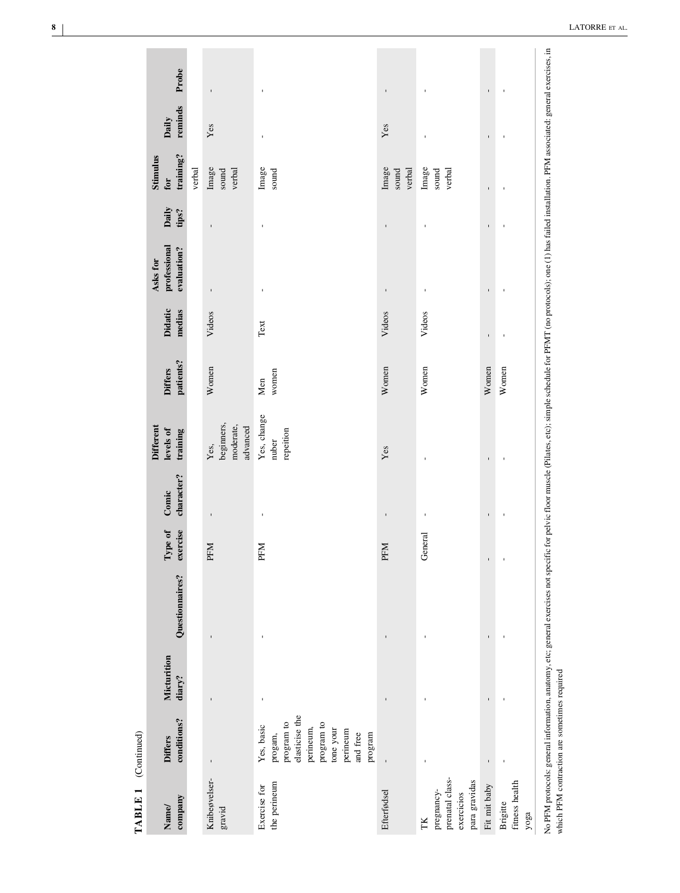| ٦           |  |
|-------------|--|
| ŗ<br>í<br>è |  |
| ≺<br>⊢      |  |

| $\mathbf{I}$ |
|--------------|
|              |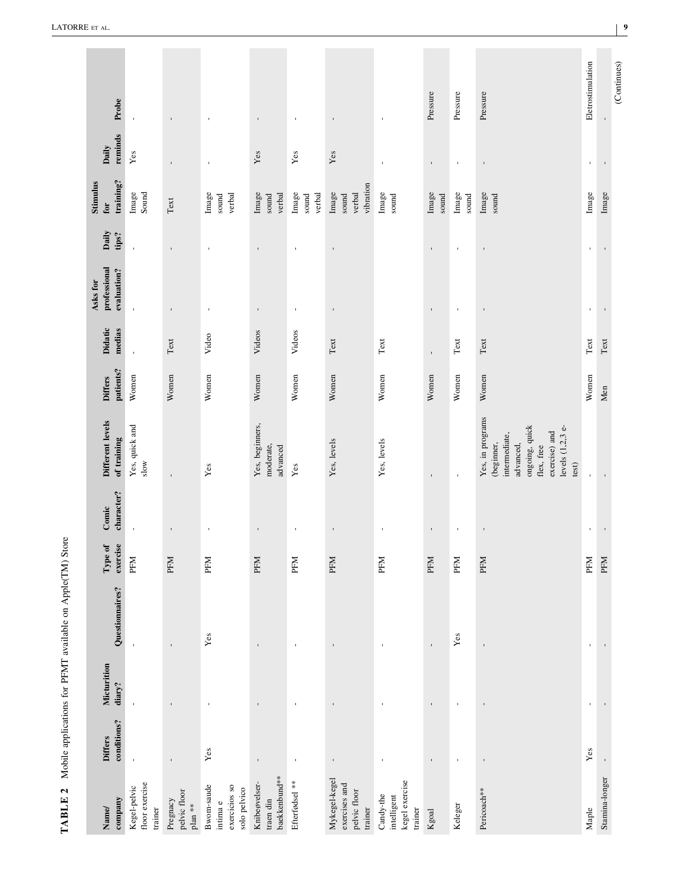<span id="page-8-0"></span>

| company<br>Name                                           | conditions?<br><b>Differs</b> | Micturition<br>diary? | Questionnaires? | exercise<br>Type of | character?<br>Comic      | Different levels<br>of training                                                                                                            | patients?<br><b>Differs</b> | Didatic<br>medias              | professional<br>evaluation?<br>Asks for | Daily<br>tips? | training?<br>Stimulus<br>for          | reminds<br>Daily | Probe             |
|-----------------------------------------------------------|-------------------------------|-----------------------|-----------------|---------------------|--------------------------|--------------------------------------------------------------------------------------------------------------------------------------------|-----------------------------|--------------------------------|-----------------------------------------|----------------|---------------------------------------|------------------|-------------------|
| floor exercise<br>Kegel-pelvic<br>trainer                 | $\mathbf{r}$                  | $\mathbf{I}$          | $\mathbf{I}$    | PFM                 | $\blacksquare$           | Yes, quick and<br>slow                                                                                                                     | Women                       | $\mathbf{r}$                   | $\mathbf{I}$                            | $\mathbf{I}$   | Image<br>Sound                        | $\mathbf{Yes}$   | $\blacksquare$    |
| pelvic floor<br>Pregnacy<br>plan **                       | $\mathbf{I}$                  | $\mathbf{I}$          | $\mathbf{I}$    | <b>PFM</b>          | $\,$                     | $\mathbf{I}$                                                                                                                               | Women                       | $\operatorname{\mathsf{Text}}$ | $\mathbf{I}$                            | $\mathbf{I}$   | $\operatorname{\mathsf{Text}}$        | $\mathbf{I}$     | $\mathbf{I}$      |
| Bwom-saude<br>exercicios so<br>solo pelvico<br>intima $e$ | $\mathbf{Yes}$                |                       | $\mathbf{Yes}$  | <b>PFM</b>          | $\overline{\phantom{a}}$ | Yes                                                                                                                                        | Women                       | Video                          | $\blacksquare$                          | J.             | Image<br>verbal<br>sound              | $\blacksquare$   | $\blacksquare$    |
| baekkenbund**<br>Knibeøvelser-<br>traen din               | $\blacksquare$                | $\mathbf{I}$          | $\mathbf{I}$    | PFM                 | $\mathbf{I}$             | Yes, beginners,<br>moderate,<br>advanced                                                                                                   | Women                       | Videos                         | $\blacksquare$                          | $\mathbf I$    | Image<br>verbal<br>sound              | Yes              | $\mathbf{I}$      |
| Efterfødsel **                                            | $\mathbf{I}$                  | $\mathbf{I}$          |                 | PFM                 | $\mathbf{I}$             | Yes                                                                                                                                        | Women                       | Videos                         | $\mathbf{I}$                            | $\mathbf{I}$   | Image<br>verbal<br>sound              | Yes              | $\mathbf{I}$      |
| Mykegel-kegel<br>exercises and<br>pelvic floor<br>trainer | $\mathbf I$                   |                       | $\mathbf{I}$    | <b>PFM</b>          | $\blacksquare$           | Yes, levels                                                                                                                                | Women                       | $\operatorname{Text}$          | $\blacksquare$                          | $\mathbf{I}$   | vibration<br>Image<br>verbal<br>sound | ${\it Yes}$      | $\mathbf{I}$      |
| kegel exercise<br>Candy-the<br>intelligent<br>trainer     | $\mathbf{I}$                  | $\blacksquare$        | $\mathbf{I}$    | PFM                 | $\blacksquare$           | Yes, levels                                                                                                                                | Women                       | $\operatorname{\mathsf{Text}}$ |                                         |                | Image<br>sound                        | $\blacksquare$   | $\mathbf{I}$      |
| Kgoal                                                     | $\mathbf{I}$                  | $\mathbf{I}$          | $\mathbf{I}$    | <b>PFM</b>          | $\mathbf I$              | $\mathbf{I}$                                                                                                                               | Women                       | $\mathbf{I}$                   | $\mathbf{I}$                            | $\mathbf{I}$   | Image<br>sound                        | $\mathbf I$      | Pressure          |
| Keleger                                                   | $\blacksquare$                | $\blacksquare$        | $\mathbf{Yes}$  | PFM                 | $\blacksquare$           | $\blacksquare$                                                                                                                             | Women                       | $\operatorname{\mathsf{Text}}$ | $\blacksquare$                          | Ţ              | Image<br>sound                        | $\blacksquare$   | Pressure          |
| Pericoach**                                               | $\mathbf{I}$                  | $\mathbf{I}$          | $\mathbf{I}$    | <b>PFM</b>          | $\mathbf I$              | Yes, in programs<br>ongoing, quick<br>levels (1,2,3 e-<br>exercise) and<br>intermediate,<br>(beginner,<br>advanced,<br>flex, free<br>test) | Women                       | $_{\rm Text}$                  | $\mathbf{I}$                            | $\mathbf{I}$   | Image<br>sound                        | $\blacksquare$   | Pressure          |
| Maple                                                     | Yes                           | $\blacksquare$        | $\mathbf{r}$    | PFM                 | $\mathbf{I}$             | $\mathbf{I}$                                                                                                                               | Women                       | $\operatorname{\mathsf{Text}}$ | $\mathbf{r}$                            | J.             | Image                                 | $\mathbf{I}$     | Eletrostimulation |
| Stamina-longer                                            | $\mathbf{r}$                  |                       | $\mathbf{I}$    | <b>PFM</b>          | $\mathbf{I}$             |                                                                                                                                            | Men                         | $_{\rm Text}$                  | $\mathbf{I}$                            | $\bar{\Gamma}$ | Image                                 | $\mathbf{I}$     |                   |
|                                                           |                               |                       |                 |                     |                          |                                                                                                                                            |                             |                                |                                         |                |                                       |                  |                   |

 $\sim$ 

TABLE 2 Mobile applications for PFMT available on Apple(TM) Store **TABLE 2** Mobile applications for PFMT available on Apple(TM) Store

 $\overline{a}$ 

÷

 $(Continuous)$ (Continues)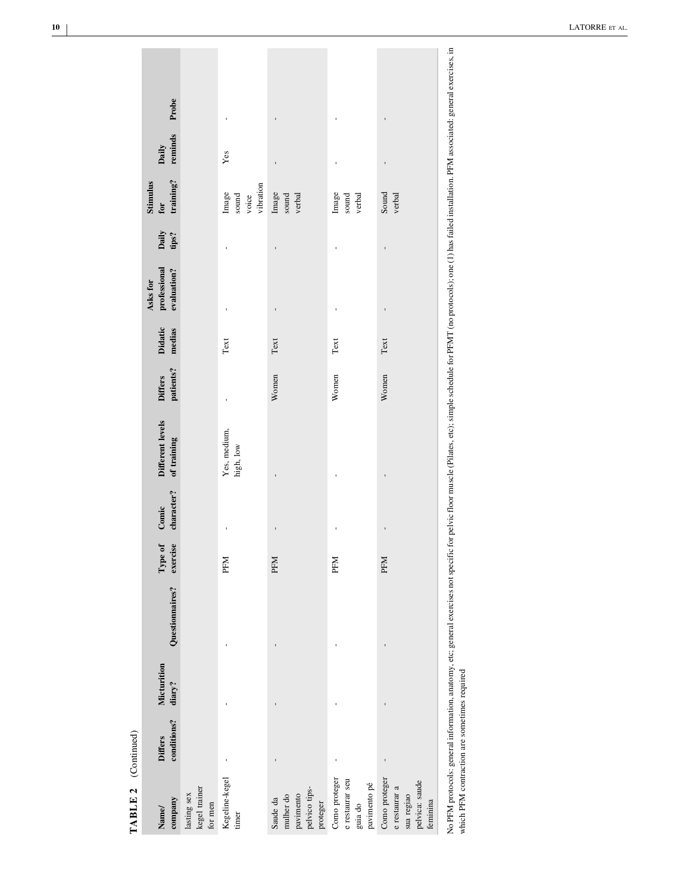| €                               |
|---------------------------------|
| í.                              |
|                                 |
|                                 |
| $\ddot{\phantom{0}}$<br>а<br>i. |

| Probe<br>reminds<br>Daily<br>training?<br>Stimulus<br>${\bf for}$<br>Daily<br>tips?<br>professional<br>evaluation?<br>Asks for<br><b>Didatic</b><br>medias<br>patients?<br><b>Differs</b><br>Different levels<br>of training<br>character? |                                         | Yes<br>vibration<br>Image<br>sound<br>voice<br>Text<br>Yes, medium,<br>high, low | ï<br>ı<br>Image<br>sound<br>verbal<br>ï<br>$\operatorname{\mathsf{Text}}$<br>Women | Image<br>sound<br>verbal<br>Text<br>Women                   | ï<br>ı<br>Sound<br>verbal<br>ı<br>Text<br>Women                            |
|--------------------------------------------------------------------------------------------------------------------------------------------------------------------------------------------------------------------------------------------|-----------------------------------------|----------------------------------------------------------------------------------|------------------------------------------------------------------------------------|-------------------------------------------------------------|----------------------------------------------------------------------------|
| ${\bf Conic}$<br>exercise<br>lype of                                                                                                                                                                                                       |                                         | <b>PFM</b>                                                                       | <b>PFM</b>                                                                         | <b>PFM</b>                                                  | <b>PFM</b>                                                                 |
| Questionnaires?                                                                                                                                                                                                                            |                                         |                                                                                  |                                                                                    |                                                             |                                                                            |
| Micturition<br>diary?                                                                                                                                                                                                                      |                                         |                                                                                  |                                                                                    |                                                             |                                                                            |
| conditions?<br><b>Differs</b>                                                                                                                                                                                                              |                                         |                                                                                  |                                                                                    |                                                             |                                                                            |
| company<br>Name/                                                                                                                                                                                                                           | lasting sex<br>kegel trainer<br>for men | Kegeline-kegel<br>timer                                                          | pavimento<br>pelvico tips-<br>mulher do<br>Saude da<br>proteger                    | Como proteger<br>e restaurar seu<br>pavimento pé<br>guia do | Como proteger<br>e restaurar a<br>pelvica: saude<br>sua regiao<br>feminina |

 $\overline{\phantom{a}}$ 

×

No PFM protocols: general information, anatomy, etc; general exercises not specific for pelvic for pelvic floor muscle (Pilates, etc); simple schedule for PFMT (no protocols); one (1) has failed installation. PFM associate which PFM contraction are sometimes required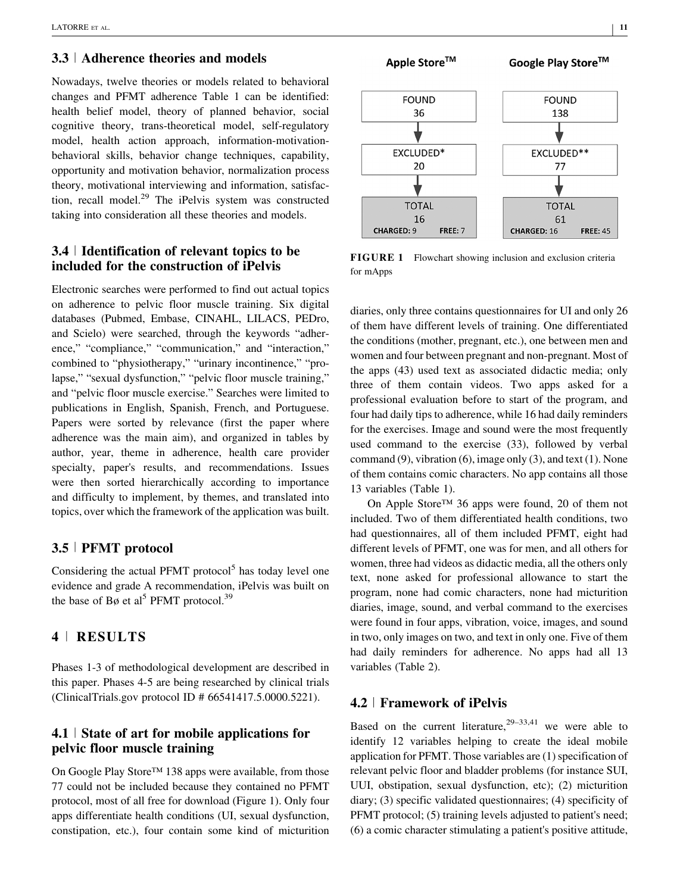## **3.3** <sup>|</sup> **Adherence theories and models**

Nowadays, twelve theories or models related to behavioral changes and PFMT adherence Table [1](#page-3-0) can be identified: health belief model, theory of planned behavior, social cognitive theory, trans-theoretical model, self-regulatory model, health action approach, information-motivationbehavioral skills, behavior change techniques, capability, opportunity and motivation behavior, normalization process theory, motivational interviewing and information, satisfaction, recall model. $29$  [The iPelvis system was constructed](#page-16-0) taking into consideration all these theories and models.

## **3.4** <sup>|</sup> **Identification of relevant topics to be included for the construction of iPelvis**

Electronic searches were performed to find out actual topics on adherence to pelvic floor muscle training. Six digital databases (Pubmed, Embase, CINAHL, LILACS, PEDro, and Scielo) were searched, through the keywords "adherence," "compliance," "communication," and "interaction," combined to "physiotherapy," "urinary incontinence," "prolapse," "sexual dysfunction," "pelvic floor muscle training," and "pelvic floor muscle exercise." Searches were limited to publications in English, Spanish, French, and Portuguese. Papers were sorted by relevance (first the paper where adherence was the main aim), and organized in tables by author, year, theme in adherence, health care provider specialty, paper's results, and recommendations. Issues were then sorted hierarchically according to importance and difficulty to implement, by themes, and translated into topics, over which the framework of the application was built.

## **3.5** <sup>|</sup> **PFMT protocol**

Considering the actual PFMT protocol $<sup>5</sup>$  [has today level one](#page-15-0)</sup> evidence and grade A recommendation, iPelvis was built on the base of Bø et al<sup>5</sup> [PFMT protocol.](#page-15-0)<sup>[39](#page-16-0)</sup>

## **4** <sup>|</sup> **RESULTS**

Phases 1-3 of methodological development are described in this paper. Phases 4-5 are being researched by clinical trials (ClinicalTrials.gov protocol ID # 66541417.5.0000.5221).

## **4.1** <sup>|</sup> **State of art for mobile applications for pelvic floor muscle training**

On Google Play Store™ 138 apps were available, from those 77 could not be included because they contained no PFMT protocol, most of all free for download (Figure 1). Only four apps differentiate health conditions (UI, sexual dysfunction, constipation, etc.), four contain some kind of micturition



**FIGURE 1** Flowchart showing inclusion and exclusion criteria for mApps

diaries, only three contains questionnaires for UI and only 26 of them have different levels of training. One differentiated the conditions (mother, pregnant, etc.), one between men and women and four between pregnant and non-pregnant. Most of the apps (43) used text as associated didactic media; only three of them contain videos. Two apps asked for a professional evaluation before to start of the program, and four had daily tips to adherence, while 16 had daily reminders for the exercises. Image and sound were the most frequently used command to the exercise (33), followed by verbal command (9), vibration (6), image only (3), and text (1). None of them contains comic characters. No app contains all those 13 variables (Table [1](#page-3-0)).

On Apple Store™ 36 apps were found, 20 of them not included. Two of them differentiated health conditions, two had questionnaires, all of them included PFMT, eight had different levels of PFMT, one was for men, and all others for women, three had videos as didactic media, all the others only text, none asked for professional allowance to start the program, none had comic characters, none had micturition diaries, image, sound, and verbal command to the exercises were found in four apps, vibration, voice, images, and sound in two, only images on two, and text in only one. Five of them had daily reminders for adherence. No apps had all 13 variables (Table [2](#page-8-0)).

#### **4.2** <sup>|</sup> **Framework of iPelvis**

Based on the current literature,  $29-33,41$  [we were able to](#page-16-0) identify 12 variables helping to create the ideal mobile application for PFMT. Those variables are (1) specification of relevant pelvic floor and bladder problems (for instance SUI, UUI, obstipation, sexual dysfunction, etc); (2) micturition diary; (3) specific validated questionnaires; (4) specificity of PFMT protocol; (5) training levels adjusted to patient's need; (6) a comic character stimulating a patient's positive attitude,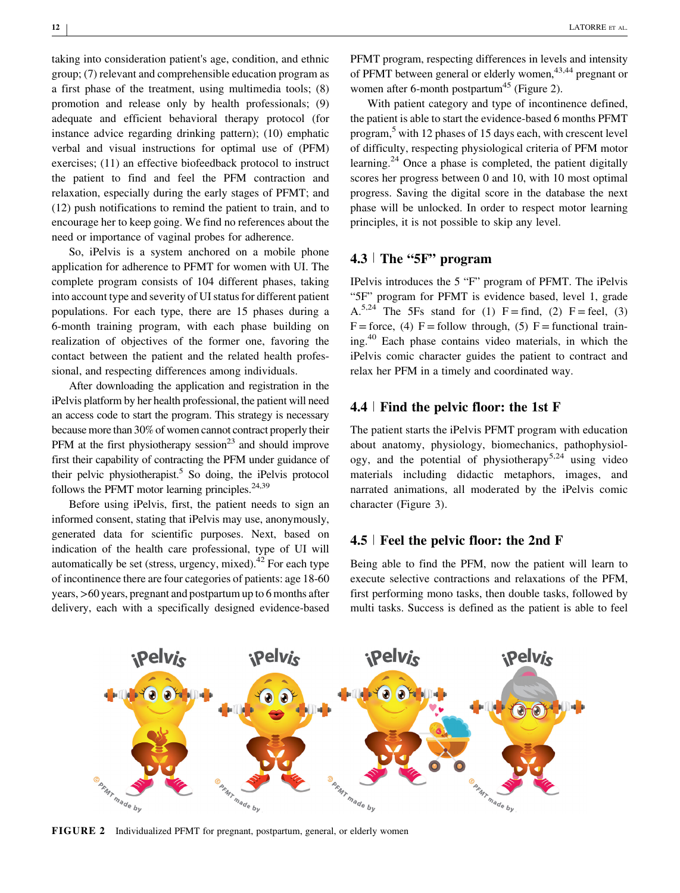taking into consideration patient's age, condition, and ethnic group; (7) relevant and comprehensible education program as a first phase of the treatment, using multimedia tools; (8) promotion and release only by health professionals; (9) adequate and efficient behavioral therapy protocol (for instance advice regarding drinking pattern); (10) emphatic verbal and visual instructions for optimal use of (PFM) exercises; (11) an effective biofeedback protocol to instruct the patient to find and feel the PFM contraction and relaxation, especially during the early stages of PFMT; and (12) push notifications to remind the patient to train, and to encourage her to keep going. We find no references about the need or importance of vaginal probes for adherence.

So, iPelvis is a system anchored on a mobile phone application for adherence to PFMT for women with UI. The complete program consists of 104 different phases, taking into account type and severity of UI status for different patient populations. For each type, there are 15 phases during a 6-month training program, with each phase building on realization of objectives of the former one, favoring the contact between the patient and the related health professional, and respecting differences among individuals.

After downloading the application and registration in the iPelvis platform by her health professional, the patient will need an access code to start the program. This strategy is necessary because more than 30% of women cannot contract properly their PFM at the first physiotherapy session<sup>23</sup> [and should improve](#page-16-0) first their capability of contracting the PFM under guidance of their pelvic physiotherapist.<sup>5</sup> [So doing, the iPelvis protocol](#page-15-0) follows the PFMT motor learning principles. $24,39$ 

Before using iPelvis, first, the patient needs to sign an informed consent, stating that iPelvis may use, anonymously, generated data for scientific purposes. Next, based on indication of the health care professional, type of UI will automatically be set (stress, urgency, mixed).<sup>42</sup> [For each type](#page-16-0) of incontinence there are four categories of patients: age 18-60 years, >60 years, pregnant and postpartum up to 6 months after delivery, each with a specifically designed evidence-based

PFMT program, respecting differences in levels and intensity of PFMT between general or elderly women,<sup>43,44</sup> [pregnant or](#page-17-0) women after 6-month postpartum<sup>45</sup> [\(Figure 2\).](#page-17-0)

With patient category and type of incontinence defined, the patient is able to start the evidence-based 6 months PFMT program,5 [with 12 phases of 15 days each, with crescent level](#page-15-0) of difficulty, respecting physiological criteria of PFM motor learning.<sup>24</sup> [Once a phase is completed, the patient digitally](#page-16-0) scores her progress between 0 and 10, with 10 most optimal progress. Saving the digital score in the database the next phase will be unlocked. In order to respect motor learning principles, it is not possible to skip any level.

## **4.3** <sup>|</sup> **The "5F" program**

IPelvis introduces the 5 "F" program of PFMT. The iPelvis "5F" program for PFMT is evidence based, level 1, grade A.<sup>5,24</sup> [The 5Fs stand for \(1\) F = find, \(2\) F = feel, \(3\)](#page-15-0)  $F =$  force, (4)  $F =$  follow through, (5)  $F =$  functional training.40 [Each phase contains video materials, in which the](#page-16-0) iPelvis comic character guides the patient to contract and relax her PFM in a timely and coordinated way.

## **4.4** <sup>|</sup> **Find the pelvic floor: the 1st F**

The patient starts the iPelvis PFMT program with education about anatomy, physiology, biomechanics, pathophysiology, and the potential of physiotherapy<sup>5,24</sup> [using video](#page-15-0) materials including didactic metaphors, images, and narrated animations, all moderated by the iPelvis comic character (Figure 3).

## **4.5** <sup>|</sup> **Feel the pelvic floor: the 2nd F**

Being able to find the PFM, now the patient will learn to execute selective contractions and relaxations of the PFM, first performing mono tasks, then double tasks, followed by multi tasks. Success is defined as the patient is able to feel



**FIGURE 2** Individualized PFMT for pregnant, postpartum, general, or elderly women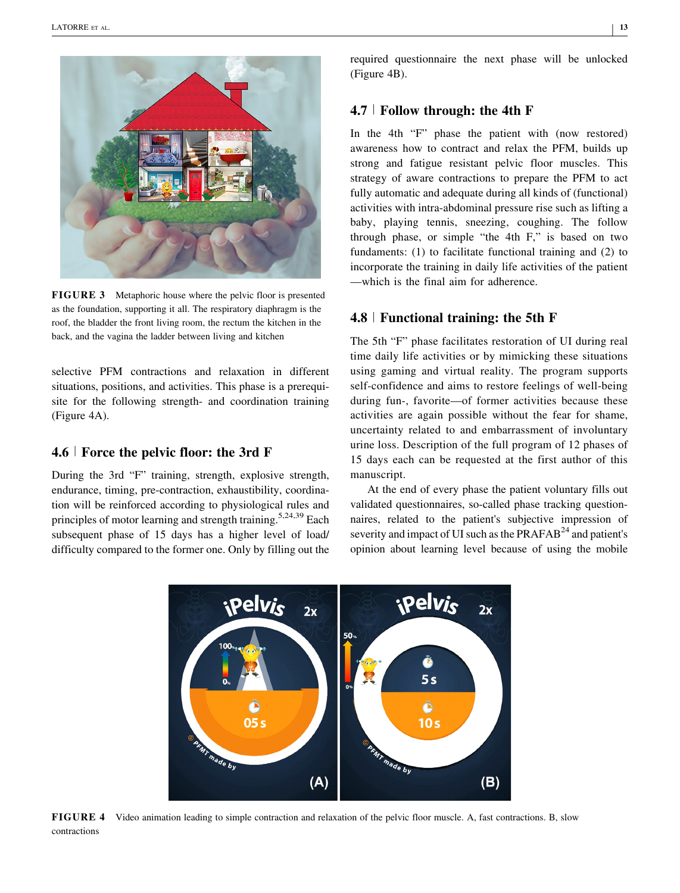

**FIGURE 3** Metaphoric house where the pelvic floor is presented as the foundation, supporting it all. The respiratory diaphragm is the roof, the bladder the front living room, the rectum the kitchen in the back, and the vagina the ladder between living and kitchen

selective PFM contractions and relaxation in different situations, positions, and activities. This phase is a prerequisite for the following strength- and coordination training (Figure 4A).

#### **4.6** <sup>|</sup> **Force the pelvic floor: the 3rd F**

During the 3rd "F" training, strength, explosive strength, endurance, timing, pre-contraction, exhaustibility, coordination will be reinforced according to physiological rules and principles of motor learning and strength training.<sup>5,24,39</sup> [Each](#page-15-0) subsequent phase of 15 days has a higher level of load/ difficulty compared to the former one. Only by filling out the required questionnaire the next phase will be unlocked (Figure 4B).

# **4.7** <sup>|</sup> **Follow through: the 4th F**

In the 4th "F" phase the patient with (now restored) awareness how to contract and relax the PFM, builds up strong and fatigue resistant pelvic floor muscles. This strategy of aware contractions to prepare the PFM to act fully automatic and adequate during all kinds of (functional) activities with intra-abdominal pressure rise such as lifting a baby, playing tennis, sneezing, coughing. The follow through phase, or simple "the 4th F," is based on two fundaments: (1) to facilitate functional training and (2) to incorporate the training in daily life activities of the patient —which is the final aim for adherence.

## **4.8** <sup>|</sup> **Functional training: the 5th F**

The 5th "F" phase facilitates restoration of UI during real time daily life activities or by mimicking these situations using gaming and virtual reality. The program supports self-confidence and aims to restore feelings of well-being during fun-, favorite—of former activities because these activities are again possible without the fear for shame, uncertainty related to and embarrassment of involuntary urine loss. Description of the full program of 12 phases of 15 days each can be requested at the first author of this manuscript.

At the end of every phase the patient voluntary fills out validated questionnaires, so-called phase tracking questionnaires, related to the patient's subjective impression of severity and impact of UI such as the  $PRAFAB<sup>24</sup>$  [and patient's](#page-16-0) opinion about learning level because of using the mobile



**FIGURE 4** Video animation leading to simple contraction and relaxation of the pelvic floor muscle. A, fast contractions. B, slow contractions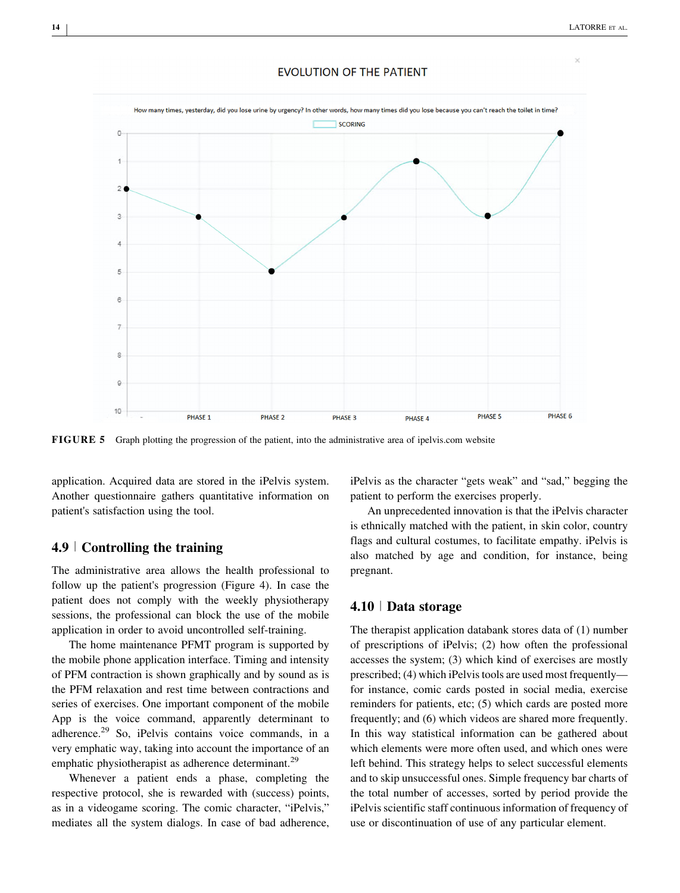

#### **EVOLUTION OF THE PATIENT**

**FIGURE 5** Graph plotting the progression of the patient, into the administrative area of ipelvis.com website

application. Acquired data are stored in the iPelvis system. Another questionnaire gathers quantitative information on patient's satisfaction using the tool.

#### **4.9** <sup>|</sup> **Controlling the training**

The administrative area allows the health professional to follow up the patient's progression (Figure 4). In case the patient does not comply with the weekly physiotherapy sessions, the professional can block the use of the mobile application in order to avoid uncontrolled self-training.

The home maintenance PFMT program is supported by the mobile phone application interface. Timing and intensity of PFM contraction is shown graphically and by sound as is the PFM relaxation and rest time between contractions and series of exercises. One important component of the mobile App is the voice command, apparently determinant to adherence. $^{29}$  [So, iPelvis contains voice commands, in a](#page-16-0) very emphatic way, taking into account the importance of an emphatic physiotherapist as adherence determinant.<sup>[29](#page-16-0)</sup>

Whenever a patient ends a phase, completing the respective protocol, she is rewarded with (success) points, as in a videogame scoring. The comic character, "iPelvis," mediates all the system dialogs. In case of bad adherence, iPelvis as the character "gets weak" and "sad," begging the patient to perform the exercises properly.

An unprecedented innovation is that the iPelvis character is ethnically matched with the patient, in skin color, country flags and cultural costumes, to facilitate empathy. iPelvis is also matched by age and condition, for instance, being pregnant.

## **4.10** <sup>|</sup> **Data storage**

The therapist application databank stores data of (1) number of prescriptions of iPelvis; (2) how often the professional accesses the system; (3) which kind of exercises are mostly prescribed; (4) which iPelvis tools are used most frequently for instance, comic cards posted in social media, exercise reminders for patients, etc; (5) which cards are posted more frequently; and (6) which videos are shared more frequently. In this way statistical information can be gathered about which elements were more often used, and which ones were left behind. This strategy helps to select successful elements and to skip unsuccessful ones. Simple frequency bar charts of the total number of accesses, sorted by period provide the iPelvis scientific staff continuous information of frequency of use or discontinuation of use of any particular element.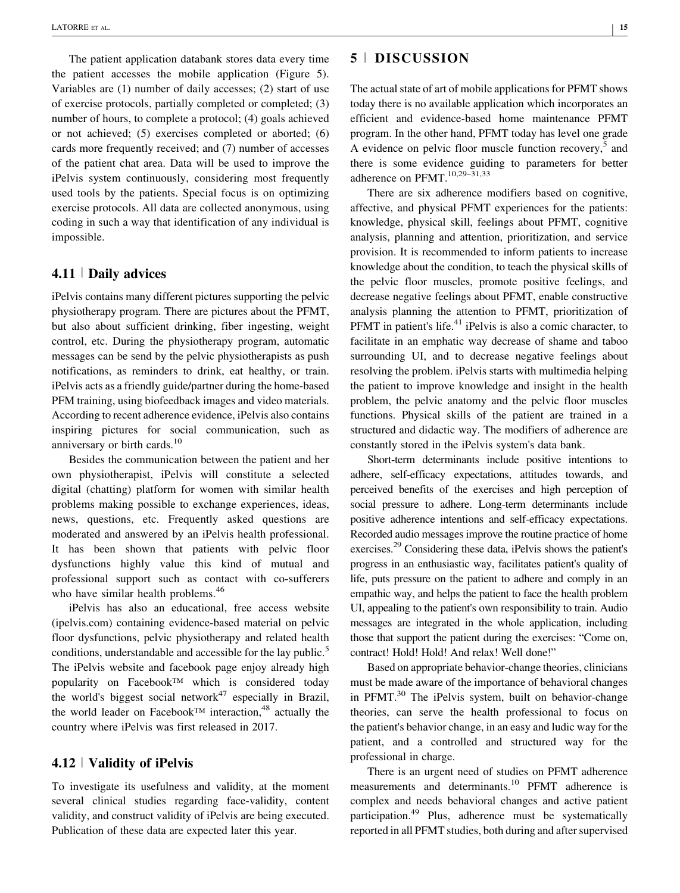The patient application databank stores data every time the patient accesses the mobile application (Figure 5). Variables are (1) number of daily accesses; (2) start of use of exercise protocols, partially completed or completed; (3) number of hours, to complete a protocol; (4) goals achieved or not achieved; (5) exercises completed or aborted; (6) cards more frequently received; and (7) number of accesses of the patient chat area. Data will be used to improve the iPelvis system continuously, considering most frequently used tools by the patients. Special focus is on optimizing exercise protocols. All data are collected anonymous, using coding in such a way that identification of any individual is impossible.

#### **4.11** <sup>|</sup> **Daily advices**

iPelvis contains many different pictures supporting the pelvic physiotherapy program. There are pictures about the PFMT, but also about sufficient drinking, fiber ingesting, weight control, etc. During the physiotherapy program, automatic messages can be send by the pelvic physiotherapists as push notifications, as reminders to drink, eat healthy, or train. iPelvis acts as a friendly guide/partner during the home-based PFM training, using biofeedback images and video materials. According to recent adherence evidence, iPelvis also contains inspiring pictures for social communication, such as anniversary or birth cards.<sup>[10](#page-16-0)</sup>

Besides the communication between the patient and her own physiotherapist, iPelvis will constitute a selected digital (chatting) platform for women with similar health problems making possible to exchange experiences, ideas, news, questions, etc. Frequently asked questions are moderated and answered by an iPelvis health professional. It has been shown that patients with pelvic floor dysfunctions highly value this kind of mutual and professional support such as contact with co-sufferers who have similar health problems.<sup>[46](#page-17-0)</sup>

iPelvis has also an educational, free access website (ipelvis.com) containing evidence-based material on pelvic floor dysfunctions, pelvic physiotherapy and related health conditions, understandable and accessible for the lay public.<sup>[5](#page-15-0)</sup> The iPelvis website and facebook page enjoy already high popularity on Facebook™ which is considered today the world's biggest social network $47$  [especially in Brazil,](#page-17-0) the world leader on Facebook<sup>™</sup> interaction,<sup>48</sup> [actually the](#page-17-0) country where iPelvis was first released in 2017.

#### **4.12** <sup>|</sup> **Validity of iPelvis**

To investigate its usefulness and validity, at the moment several clinical studies regarding face-validity, content validity, and construct validity of iPelvis are being executed. Publication of these data are expected later this year.

## **5** <sup>|</sup> **DISCUSSION**

The actual state of art of mobile applications for PFMT shows today there is no available application which incorporates an efficient and evidence-based home maintenance PFMT program. In the other hand, PFMT today has level one grade A evidence on pelvic floor muscle function recovery,<sup>5</sup> [and](#page-15-0) there is some evidence guiding to parameters for better adherence on PFMT.<sup>10,29-31,33</sup>

There are six adherence modifiers based on cognitive, affective, and physical PFMT experiences for the patients: knowledge, physical skill, feelings about PFMT, cognitive analysis, planning and attention, prioritization, and service provision. It is recommended to inform patients to increase knowledge about the condition, to teach the physical skills of the pelvic floor muscles, promote positive feelings, and decrease negative feelings about PFMT, enable constructive analysis planning the attention to PFMT, prioritization of PFMT in patient's life. $41$  [iPelvis is also a comic character, to](#page-16-0) facilitate in an emphatic way decrease of shame and taboo surrounding UI, and to decrease negative feelings about resolving the problem. iPelvis starts with multimedia helping the patient to improve knowledge and insight in the health problem, the pelvic anatomy and the pelvic floor muscles functions. Physical skills of the patient are trained in a structured and didactic way. The modifiers of adherence are constantly stored in the iPelvis system's data bank.

Short-term determinants include positive intentions to adhere, self-efficacy expectations, attitudes towards, and perceived benefits of the exercises and high perception of social pressure to adhere. Long-term determinants include positive adherence intentions and self-efficacy expectations. Recorded audio messages improve the routine practice of home exercises.29 [Considering these data, iPelvis shows the patient's](#page-16-0) progress in an enthusiastic way, facilitates patient's quality of life, puts pressure on the patient to adhere and comply in an empathic way, and helps the patient to face the health problem UI, appealing to the patient's own responsibility to train. Audio messages are integrated in the whole application, including those that support the patient during the exercises: "Come on, contract! Hold! Hold! And relax! Well done!"

Based on appropriate behavior-change theories, clinicians must be made aware of the importance of behavioral changes in PFMT.<sup>30</sup> [The iPelvis system, built on behavior-change](#page-16-0) theories, can serve the health professional to focus on the patient's behavior change, in an easy and ludic way for the patient, and a controlled and structured way for the professional in charge.

There is an urgent need of studies on PFMT adherence measurements and determinants.<sup>10</sup> [PFMT adherence is](#page-16-0) complex and needs behavioral changes and active patient participation.49 [Plus, adherence must be systematically](#page-17-0) reported in all PFMT studies, both during and after supervised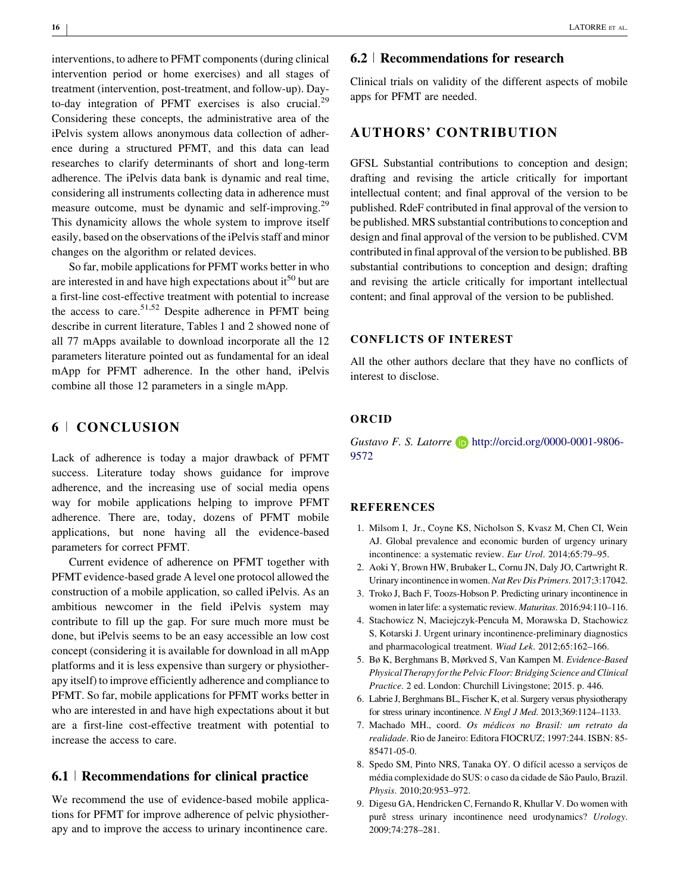<span id="page-15-0"></span>interventions, to adhere to PFMT components (during clinical intervention period or home exercises) and all stages of treatment (intervention, post-treatment, and follow-up). Day-to-day integration of PFMT exercises is also crucial.<sup>[29](#page-16-0)</sup> Considering these concepts, the administrative area of the iPelvis system allows anonymous data collection of adherence during a structured PFMT, and this data can lead researches to clarify determinants of short and long-term adherence. The iPelvis data bank is dynamic and real time, considering all instruments collecting data in adherence must measure outcome, must be dynamic and self-improving.<sup>[29](#page-16-0)</sup> This dynamicity allows the whole system to improve itself easily, based on the observations of the iPelvis staff and minor changes on the algorithm or related devices.

So far, mobile applications for PFMT works better in who are interested in and have high expectations about  $i^{50}$  [but are](#page-17-0) a first-line cost-effective treatment with potential to increase the access to care.<sup>51,52</sup> [Despite adherence in PFMT being](#page-17-0) describe in current literature, Tables 1 and 2 showed none of all 77 mApps available to download incorporate all the 12 parameters literature pointed out as fundamental for an ideal mApp for PFMT adherence. In the other hand, iPelvis combine all those 12 parameters in a single mApp.

# **6** <sup>|</sup> **CONCLUSION**

Lack of adherence is today a major drawback of PFMT success. Literature today shows guidance for improve adherence, and the increasing use of social media opens way for mobile applications helping to improve PFMT adherence. There are, today, dozens of PFMT mobile applications, but none having all the evidence-based parameters for correct PFMT.

Current evidence of adherence on PFMT together with PFMT evidence-based grade A level one protocol allowed the construction of a mobile application, so called iPelvis. As an ambitious newcomer in the field iPelvis system may contribute to fill up the gap. For sure much more must be done, but iPelvis seems to be an easy accessible an low cost concept (considering it is available for download in all mApp platforms and it is less expensive than surgery or physiotherapy itself) to improve efficiently adherence and compliance to PFMT. So far, mobile applications for PFMT works better in who are interested in and have high expectations about it but are a first-line cost-effective treatment with potential to increase the access to care.

## **6.1** <sup>|</sup> **Recommendations for clinical practice**

We recommend the use of evidence-based mobile applications for PFMT for improve adherence of pelvic physiotherapy and to improve the access to urinary incontinence care.

## **6.2** <sup>|</sup> **Recommendations for research**

Clinical trials on validity of the different aspects of mobile apps for PFMT are needed.

## **AUTHORS' CONTRIBUTION**

GFSL Substantial contributions to conception and design; drafting and revising the article critically for important intellectual content; and final approval of the version to be published. RdeF contributed in final approval of the version to be published. MRS substantial contributions to conception and design and final approval of the version to be published. CVM contributed in final approval of the version to be published. BB substantial contributions to conception and design; drafting and revising the article critically for important intellectual content; and final approval of the version to be published.

#### **CONFLICTS OF INTEREST**

All the other authors declare that they have no conflicts of interest to disclose.

#### **ORCID**

*Gustavo F. S. Latorre* **b** http://orcid.org/0000-0001-9806-9572

#### **REFERENCES**

- 1. Milsom I, Jr., Coyne KS, Nicholson S, Kvasz M, Chen CI, Wein AJ. Global prevalence and economic burden of urgency urinary incontinence: a systematic review. *Eur Urol*. 2014;65:79–95.
- 2. Aoki Y, Brown HW, Brubaker L, Cornu JN, Daly JO, Cartwright R. Urinary incontinence in women.*Nat Rev Dis Primers*. 2017;3:17042.
- 3. Troko J, Bach F, Toozs-Hobson P. Predicting urinary incontinence in women in later life: a systematic review. *Maturitas*. 2016;94:110–116.
- 4. Stachowicz N, Maciejczyk-Pencuła M, Morawska D, Stachowicz S, Kotarski J. Urgent urinary incontinence-preliminary diagnostics and pharmacological treatment. *Wiad Lek*. 2012;65:162–166.
- 5. Bø K, Berghmans B, Mørkved S, Van Kampen M. *Evidence-Based Physical Therapy for the Pelvic Floor: Bridging Science and Clinical Practice*. 2 ed. London: Churchill Livingstone; 2015. p. 446.
- 6. Labrie J, Berghmans BL, Fischer K, et al. Surgery versus physiotherapy for stress urinary incontinence. *N Engl J Med*. 2013;369:1124–1133.
- 7. Machado MH., coord. *Os médicos no Brasil: um retrato da realidade*. Rio de Janeiro: Editora FIOCRUZ; 1997:244. ISBN: 85- 85471-05-0.
- 8. Spedo SM, Pinto NRS, Tanaka OY. O difícil acesso a serviços de média complexidade do SUS: o caso da cidade de São Paulo, Brazil. *Physis*. 2010;20:953–972.
- 9. Digesu GA, Hendricken C, Fernando R, Khullar V. Do women with purê stress urinary incontinence need urodynamics? *Urology*. 2009;74:278–281.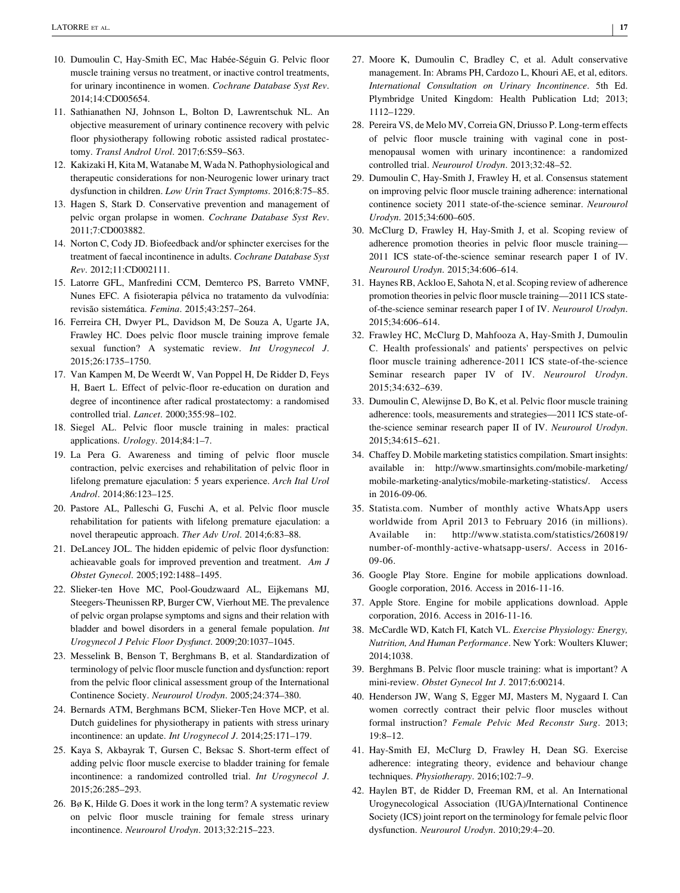- <span id="page-16-0"></span>10. Dumoulin C, Hay-Smith EC, Mac Habée-Séguin G. Pelvic floor muscle training versus no treatment, or inactive control treatments, for urinary incontinence in women. *Cochrane Database Syst Rev*. 2014;14:CD005654.
- 11. Sathianathen NJ, Johnson L, Bolton D, Lawrentschuk NL. An objective measurement of urinary continence recovery with pelvic floor physiotherapy following robotic assisted radical prostatectomy. *Transl Androl Urol*. 2017;6:S59–S63.
- 12. Kakizaki H, Kita M, Watanabe M, Wada N. Pathophysiological and therapeutic considerations for non-Neurogenic lower urinary tract dysfunction in children. *Low Urin Tract Symptoms*. 2016;8:75–85.
- 13. Hagen S, Stark D. Conservative prevention and management of pelvic organ prolapse in women. *Cochrane Database Syst Rev*. 2011;7:CD003882.
- 14. Norton C, Cody JD. Biofeedback and/or sphincter exercises for the treatment of faecal incontinence in adults. *Cochrane Database Syst Rev*. 2012;11:CD002111.
- 15. Latorre GFL, Manfredini CCM, Demterco PS, Barreto VMNF, Nunes EFC. A fisioterapia pélvica no tratamento da vulvodínia: revisão sistemática. *Femina*. 2015;43:257–264.
- 16. Ferreira CH, Dwyer PL, Davidson M, De Souza A, Ugarte JA, Frawley HC. Does pelvic floor muscle training improve female sexual function? A systematic review. *Int Urogynecol J*. 2015;26:1735–1750.
- 17. Van Kampen M, De Weerdt W, Van Poppel H, De Ridder D, Feys H, Baert L. Effect of pelvic-floor re-education on duration and degree of incontinence after radical prostatectomy: a randomised controlled trial. *Lancet*. 2000;355:98–102.
- 18. Siegel AL. Pelvic floor muscle training in males: practical applications. *Urology*. 2014;84:1–7.
- 19. La Pera G. Awareness and timing of pelvic floor muscle contraction, pelvic exercises and rehabilitation of pelvic floor in lifelong premature ejaculation: 5 years experience. *Arch Ital Urol Androl*. 2014;86:123–125.
- 20. Pastore AL, Palleschi G, Fuschi A, et al. Pelvic floor muscle rehabilitation for patients with lifelong premature ejaculation: a novel therapeutic approach. *Ther Adv Urol*. 2014;6:83–88.
- 21. DeLancey JOL. The hidden epidemic of pelvic floor dysfunction: achieavable goals for improved prevention and treatment. *Am J Obstet Gynecol*. 2005;192:1488–1495.
- 22. Slieker-ten Hove MC, Pool-Goudzwaard AL, Eijkemans MJ, Steegers-Theunissen RP, Burger CW, Vierhout ME. The prevalence of pelvic organ prolapse symptoms and signs and their relation with bladder and bowel disorders in a general female population. *Int Urogynecol J Pelvic Floor Dysfunct*. 2009;20:1037–1045.
- 23. Messelink B, Benson T, Berghmans B, et al. Standardization of terminology of pelvic floor muscle function and dysfunction: report from the pelvic floor clinical assessment group of the International Continence Society. *Neurourol Urodyn*. 2005;24:374–380.
- 24. Bernards ATM, Berghmans BCM, Slieker-Ten Hove MCP, et al. Dutch guidelines for physiotherapy in patients with stress urinary incontinence: an update. *Int Urogynecol J*. 2014;25:171–179.
- 25. Kaya S, Akbayrak T, Gursen C, Beksac S. Short-term effect of adding pelvic floor muscle exercise to bladder training for female incontinence: a randomized controlled trial. *Int Urogynecol J*. 2015;26:285–293.
- 26. Bø K, Hilde G. Does it work in the long term? A systematic review on pelvic floor muscle training for female stress urinary incontinence. *Neurourol Urodyn*. 2013;32:215–223.
- 27. Moore K, Dumoulin C, Bradley C, et al. Adult conservative management. In: Abrams PH, Cardozo L, Khouri AE, et al, editors. *International Consultation on Urinary Incontinence*. 5th Ed. Plymbridge United Kingdom: Health Publication Ltd; 2013; 1112–1229.
- 28. Pereira VS, de Melo MV, Correia GN, Driusso P. Long-term effects of pelvic floor muscle training with vaginal cone in postmenopausal women with urinary incontinence: a randomized controlled trial. *Neurourol Urodyn*. 2013;32:48–52.
- 29. Dumoulin C, Hay-Smith J, Frawley H, et al. Consensus statement on improving pelvic floor muscle training adherence: international continence society 2011 state-of-the-science seminar. *Neurourol Urodyn*. 2015;34:600–605.
- 30. McClurg D, Frawley H, Hay-Smith J, et al. Scoping review of adherence promotion theories in pelvic floor muscle training— 2011 ICS state-of-the-science seminar research paper I of IV. *Neurourol Urodyn*. 2015;34:606–614.
- 31. Haynes RB, Ackloo E, Sahota N, et al. Scoping review of adherence promotion theories in pelvic floor muscle training—2011 ICS stateof-the-science seminar research paper I of IV. *Neurourol Urodyn*. 2015;34:606–614.
- 32. Frawley HC, McClurg D, Mahfooza A, Hay-Smith J, Dumoulin C. Health professionals' and patients' perspectives on pelvic floor muscle training adherence-2011 ICS state-of-the-science Seminar research paper IV of IV. *Neurourol Urodyn*. 2015;34:632–639.
- 33. Dumoulin C, Alewijnse D, Bo K, et al. Pelvic floor muscle training adherence: tools, measurements and strategies—2011 ICS state-ofthe-science seminar research paper II of IV. *Neurourol Urodyn*. 2015;34:615–621.
- 34. Chaffey D. Mobile marketing statistics compilation. Smart insights: available in: [http://www.smartinsights.com/mobile-marketing/](http://www.smartinsights.com/mobile-marketing/mobile-marketing-analytics/mobile-marketing-statistics/) [mobile-marketing-analytics/mobile-marketing-statistics/](http://www.smartinsights.com/mobile-marketing/mobile-marketing-analytics/mobile-marketing-statistics/). Access in 2016-09-06.
- 35. Statista.com. Number of monthly active WhatsApp users worldwide from April 2013 to February 2016 (in millions). Available in: [http://www.statista.com/statistics/260819/](http://www.statista.com/statistics/260819/number-of-monthly-active-whatsapp-users/) [number-of-monthly-active-whatsapp-users/](http://www.statista.com/statistics/260819/number-of-monthly-active-whatsapp-users/). Access in 2016- 09-06.
- 36. Google Play Store. Engine for mobile applications download. Google corporation, 2016. Access in 2016-11-16.
- 37. Apple Store. Engine for mobile applications download. Apple corporation, 2016. Access in 2016-11-16.
- 38. McCardle WD, Katch FI, Katch VL. *Exercise Physiology: Energy, Nutrition, And Human Performance*. New York: Woulters Kluwer; 2014;1038.
- 39. Berghmans B. Pelvic floor muscle training: what is important? A mini-review. *Obstet Gynecol Int J*. 2017;6:00214.
- 40. Henderson JW, Wang S, Egger MJ, Masters M, Nygaard I. Can women correctly contract their pelvic floor muscles without formal instruction? *Female Pelvic Med Reconstr Surg*. 2013; 19:8–12.
- 41. Hay-Smith EJ, McClurg D, Frawley H, Dean SG. Exercise adherence: integrating theory, evidence and behaviour change techniques. *Physiotherapy*. 2016;102:7–9.
- 42. Haylen BT, de Ridder D, Freeman RM, et al. An International Urogynecological Association (IUGA)/International Continence Society (ICS) joint report on the terminology for female pelvic floor dysfunction. *Neurourol Urodyn*. 2010;29:4–20.